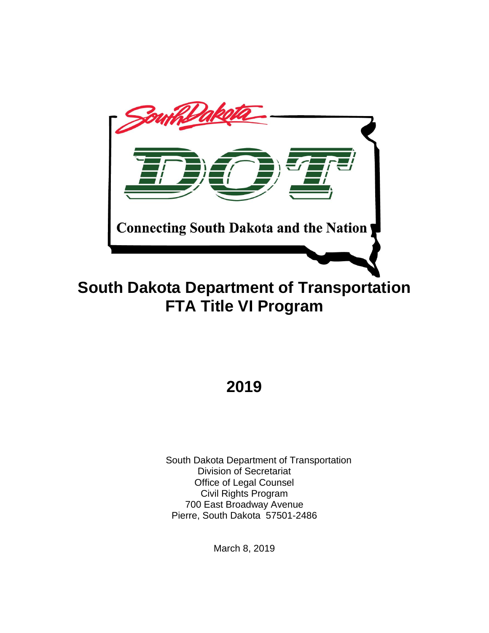

# **South Dakota Department of Transportation FTA Title VI Program**

# **2019**

South Dakota Department of Transportation Division of Secretariat Office of Legal Counsel Civil Rights Program 700 East Broadway Avenue Pierre, South Dakota 57501-2486

March 8, 2019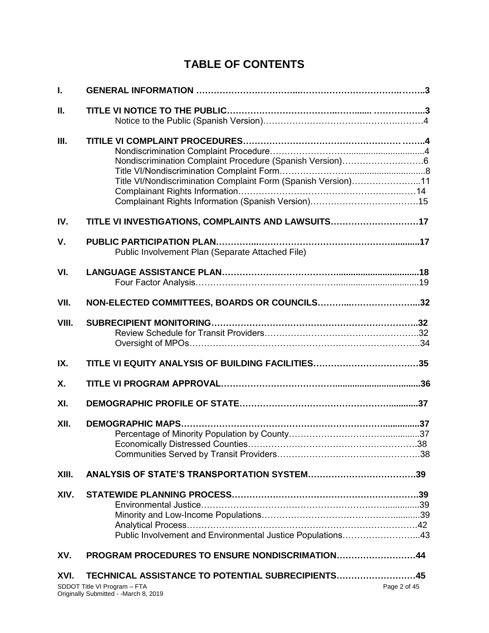# **TABLE OF CONTENTS**

| I.    |                                                                                                                           |              |
|-------|---------------------------------------------------------------------------------------------------------------------------|--------------|
| Ш.    |                                                                                                                           |              |
| Ш.    | Nondiscrimination Complaint Procedure (Spanish Version)6<br>Title VI/Nondiscrimination Complaint Form (Spanish Version)11 |              |
| IV.   | TITLE VI INVESTIGATIONS, COMPLAINTS AND LAWSUITS17                                                                        |              |
| V.    | Public Involvement Plan (Separate Attached File)                                                                          |              |
| VI.   |                                                                                                                           |              |
| VII.  | NON-ELECTED COMMITTEES, BOARDS OR COUNCILS32                                                                              |              |
| VIII. |                                                                                                                           |              |
| IX.   | TITLE VI EQUITY ANALYSIS OF BUILDING FACILITIES35                                                                         |              |
| Χ.    |                                                                                                                           |              |
| XI.   |                                                                                                                           |              |
| XII.  | <b>DEMOGRAPHIC MAPS</b>                                                                                                   |              |
| XIII. |                                                                                                                           |              |
| XIV.  | Public Involvement and Environmental Justice Populations43                                                                |              |
| XV.   | PROGRAM PROCEDURES TO ENSURE NONDISCRIMATION44                                                                            |              |
| XVI.  | TECHNICAL ASSISTANCE TO POTENTIAL SUBRECIPIENTS45                                                                         |              |
|       | SDDOT Title VI Program - FTA<br>Originally Submitted - - March 8, 2019                                                    | Page 2 of 45 |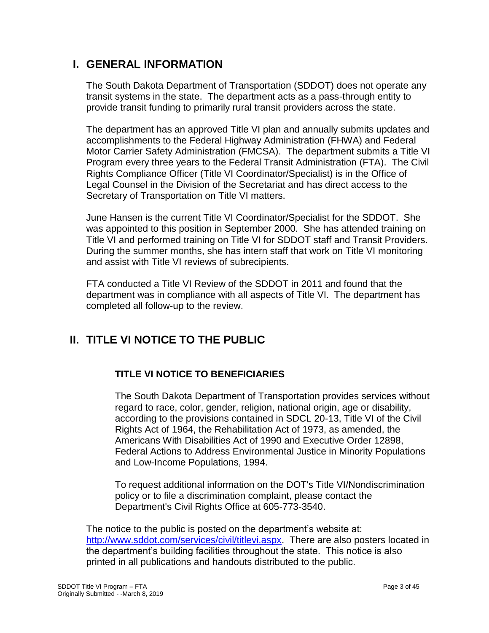### **I. GENERAL INFORMATION**

The South Dakota Department of Transportation (SDDOT) does not operate any transit systems in the state. The department acts as a pass-through entity to provide transit funding to primarily rural transit providers across the state.

The department has an approved Title VI plan and annually submits updates and accomplishments to the Federal Highway Administration (FHWA) and Federal Motor Carrier Safety Administration (FMCSA). The department submits a Title VI Program every three years to the Federal Transit Administration (FTA). The Civil Rights Compliance Officer (Title VI Coordinator/Specialist) is in the Office of Legal Counsel in the Division of the Secretariat and has direct access to the Secretary of Transportation on Title VI matters.

June Hansen is the current Title VI Coordinator/Specialist for the SDDOT. She was appointed to this position in September 2000. She has attended training on Title VI and performed training on Title VI for SDDOT staff and Transit Providers. During the summer months, she has intern staff that work on Title VI monitoring and assist with Title VI reviews of subrecipients.

FTA conducted a Title VI Review of the SDDOT in 2011 and found that the department was in compliance with all aspects of Title VI. The department has completed all follow-up to the review.

# **II. TITLE VI NOTICE TO THE PUBLIC**

### **TITLE VI NOTICE TO BENEFICIARIES**

The South Dakota Department of Transportation provides services without regard to race, color, gender, religion, national origin, age or disability, according to the provisions contained in SDCL 20-13, Title VI of the Civil Rights Act of 1964, the Rehabilitation Act of 1973, as amended, the Americans With Disabilities Act of 1990 and Executive Order 12898, Federal Actions to Address Environmental Justice in Minority Populations and Low-Income Populations, 1994.

To request additional information on the DOT's Title VI/Nondiscrimination policy or to file a discrimination complaint, please contact the Department's Civil Rights Office at 605-773-3540.

The notice to the public is posted on the department's website at: [http://www.sddot.com/services/civil/titlevi.aspx.](http://www.sddot.com/services/civil/titlevi.aspx) There are also posters located in the department's building facilities throughout the state. This notice is also printed in all publications and handouts distributed to the public.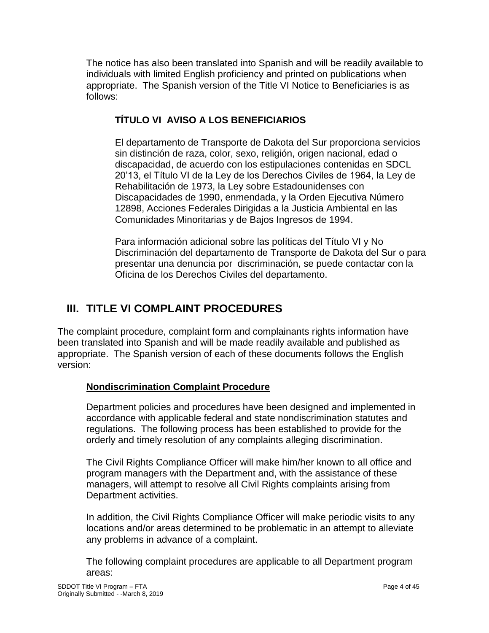The notice has also been translated into Spanish and will be readily available to individuals with limited English proficiency and printed on publications when appropriate. The Spanish version of the Title VI Notice to Beneficiaries is as follows:

### **TÍTULO VI AVISO A LOS BENEFICIARIOS**

El departamento de Transporte de Dakota del Sur proporciona servicios sin distinción de raza, color, sexo, religión, origen nacional, edad o discapacidad, de acuerdo con los estipulaciones contenidas en SDCL 20'13, el Título VI de la Ley de los Derechos Civiles de 1964, la Ley de Rehabilitación de 1973, la Ley sobre Estadounidenses con Discapacidades de 1990, enmendada, y la Orden Ejecutiva Número 12898, Acciones Federales Dirigidas a la Justicia Ambiental en las Comunidades Minoritarias y de Bajos Ingresos de 1994.

Para información adicional sobre las políticas del Título VI y No Discriminación del departamento de Transporte de Dakota del Sur o para presentar una denuncia por discriminación, se puede contactar con la Oficina de los Derechos Civiles del departamento.

# **III. TITLE VI COMPLAINT PROCEDURES**

The complaint procedure, complaint form and complainants rights information have been translated into Spanish and will be made readily available and published as appropriate. The Spanish version of each of these documents follows the English version:

### **Nondiscrimination Complaint Procedure**

Department policies and procedures have been designed and implemented in accordance with applicable federal and state nondiscrimination statutes and regulations. The following process has been established to provide for the orderly and timely resolution of any complaints alleging discrimination.

The Civil Rights Compliance Officer will make him/her known to all office and program managers with the Department and, with the assistance of these managers, will attempt to resolve all Civil Rights complaints arising from Department activities.

In addition, the Civil Rights Compliance Officer will make periodic visits to any locations and/or areas determined to be problematic in an attempt to alleviate any problems in advance of a complaint.

The following complaint procedures are applicable to all Department program areas: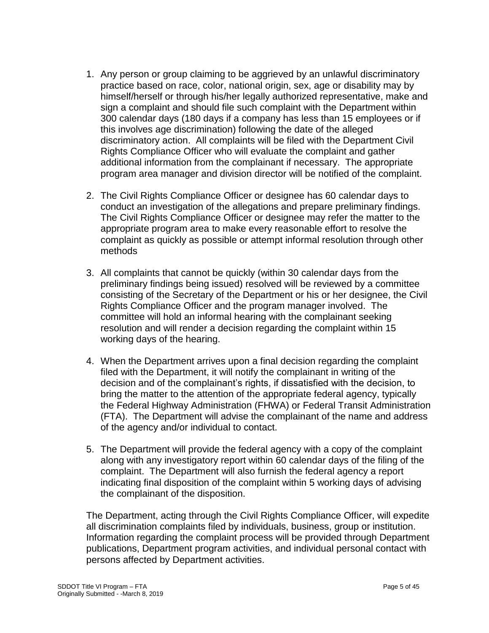- 1. Any person or group claiming to be aggrieved by an unlawful discriminatory practice based on race, color, national origin, sex, age or disability may by himself/herself or through his/her legally authorized representative, make and sign a complaint and should file such complaint with the Department within 300 calendar days (180 days if a company has less than 15 employees or if this involves age discrimination) following the date of the alleged discriminatory action. All complaints will be filed with the Department Civil Rights Compliance Officer who will evaluate the complaint and gather additional information from the complainant if necessary. The appropriate program area manager and division director will be notified of the complaint.
- 2. The Civil Rights Compliance Officer or designee has 60 calendar days to conduct an investigation of the allegations and prepare preliminary findings. The Civil Rights Compliance Officer or designee may refer the matter to the appropriate program area to make every reasonable effort to resolve the complaint as quickly as possible or attempt informal resolution through other methods
- 3. All complaints that cannot be quickly (within 30 calendar days from the preliminary findings being issued) resolved will be reviewed by a committee consisting of the Secretary of the Department or his or her designee, the Civil Rights Compliance Officer and the program manager involved. The committee will hold an informal hearing with the complainant seeking resolution and will render a decision regarding the complaint within 15 working days of the hearing.
- 4. When the Department arrives upon a final decision regarding the complaint filed with the Department, it will notify the complainant in writing of the decision and of the complainant's rights, if dissatisfied with the decision, to bring the matter to the attention of the appropriate federal agency, typically the Federal Highway Administration (FHWA) or Federal Transit Administration (FTA). The Department will advise the complainant of the name and address of the agency and/or individual to contact.
- 5. The Department will provide the federal agency with a copy of the complaint along with any investigatory report within 60 calendar days of the filing of the complaint. The Department will also furnish the federal agency a report indicating final disposition of the complaint within 5 working days of advising the complainant of the disposition.

The Department, acting through the Civil Rights Compliance Officer, will expedite all discrimination complaints filed by individuals, business, group or institution. Information regarding the complaint process will be provided through Department publications, Department program activities, and individual personal contact with persons affected by Department activities.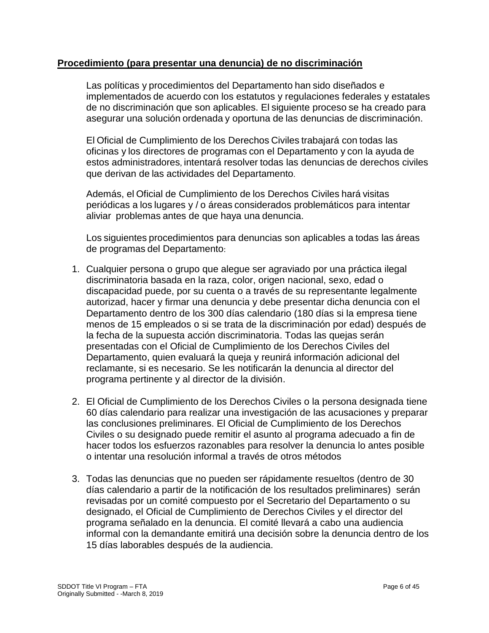### **Procedimiento (para presentar una denuncia) de no discriminación**

Las políticas y procedimientos del Departamento han sido diseñados e implementados de acuerdo con los estatutos y regulaciones federales y estatales de no discriminación que son aplicables. El siguiente proceso se ha creado para asegurar una solución ordenada y oportuna de las denuncias de discriminación.

El Oficial de Cumplimiento de los Derechos Civiles trabajará con todas las oficinas y los directores de programas con el Departamento y con la ayuda de estos administradores, intentará resolver todas las denuncias de derechos civiles que derivan de las actividades del Departamento.

Además, el Oficial de Cumplimiento de los Derechos Civiles hará visitas periódicas a los lugares y / o áreas considerados problemáticos para intentar aliviar problemas antes de que haya una denuncia.

Los siguientes procedimientos para denuncias son aplicables a todas las áreas de programas del Departamento:

- 1. Cualquier persona o grupo que alegue ser agraviado por una práctica ilegal discriminatoria basada en la raza, color, origen nacional, sexo, edad o discapacidad puede, por su cuenta o a través de su representante legalmente autorizad, hacer y firmar una denuncia y debe presentar dicha denuncia con el Departamento dentro de los 300 días calendario (180 días si la empresa tiene menos de 15 empleados o si se trata de la discriminación por edad) después de la fecha de la supuesta acción discriminatoria. Todas las quejas serán presentadas con el Oficial de Cumplimiento de los Derechos Civiles del Departamento, quien evaluará la queja y reunirá información adicional del reclamante, si es necesario. Se les notificarán la denuncia al director del programa pertinente y al director de la división.
- 2. El Oficial de Cumplimiento de los Derechos Civiles o la persona designada tiene 60 días calendario para realizar una investigación de las acusaciones y preparar las conclusiones preliminares. El Oficial de Cumplimiento de los Derechos Civiles o su designado puede remitir el asunto al programa adecuado a fin de hacer todos los esfuerzos razonables para resolver la denuncia lo antes posible o intentar una resolución informal a través de otros métodos
- 3. Todas las denuncias que no pueden ser rápidamente resueltos (dentro de 30 días calendario a partir de la notificación de los resultados preliminares) serán revisadas por un comité compuesto por el Secretario del Departamento o su designado, el Oficial de Cumplimiento de Derechos Civiles y el director del programa señalado en la denuncia. El comité llevará a cabo una audiencia informal con la demandante emitirá una decisión sobre la denuncia dentro de los 15 días laborables después de la audiencia.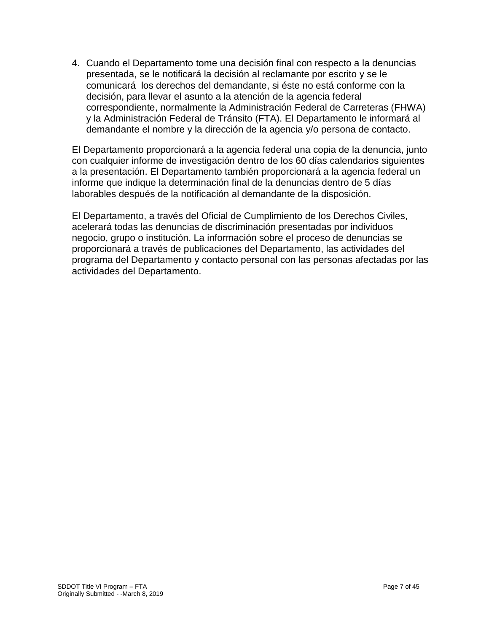4. Cuando el Departamento tome una decisión final con respecto a la denuncias presentada, se le notificará la decisión al reclamante por escrito y se le comunicará los derechos del demandante, si éste no está conforme con la decisión, para llevar el asunto a la atención de la agencia federal correspondiente, normalmente la Administración Federal de Carreteras (FHWA) y la Administración Federal de Tránsito (FTA). El Departamento le informará al demandante el nombre y la dirección de la agencia y/o persona de contacto.

El Departamento proporcionará a la agencia federal una copia de la denuncia, junto con cualquier informe de investigación dentro de los 60 días calendarios siguientes a la presentación. El Departamento también proporcionará a la agencia federal un informe que indique la determinación final de la denuncias dentro de 5 días laborables después de la notificación al demandante de la disposición.

El Departamento, a través del Oficial de Cumplimiento de los Derechos Civiles, acelerará todas las denuncias de discriminación presentadas por individuos negocio, grupo o institución. La información sobre el proceso de denuncias se proporcionará a través de publicaciones del Departamento, las actividades del programa del Departamento y contacto personal con las personas afectadas por las actividades del Departamento.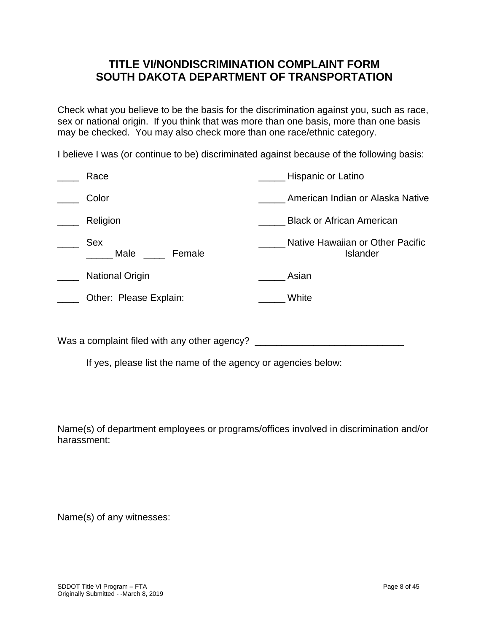### **TITLE VI/NONDISCRIMINATION COMPLAINT FORM SOUTH DAKOTA DEPARTMENT OF TRANSPORTATION**

Check what you believe to be the basis for the discrimination against you, such as race, sex or national origin. If you think that was more than one basis, more than one basis may be checked. You may also check more than one race/ethnic category.

I believe I was (or continue to be) discriminated against because of the following basis:

| Race                         | Hispanic or Latino                                  |
|------------------------------|-----------------------------------------------------|
| Color                        | American Indian or Alaska Native                    |
| Religion                     | <b>Black or African American</b>                    |
| <b>Sex</b><br>Male<br>Female | Native Hawaiian or Other Pacific<br><b>Islander</b> |
| <b>National Origin</b>       | Asian                                               |
| Other: Please Explain:       | White                                               |
|                              |                                                     |

Was a complaint filed with any other agency? \_\_\_\_\_\_\_\_\_\_\_\_\_\_\_\_\_\_\_\_\_\_\_\_\_\_\_\_\_\_\_\_\_\_\_

If yes, please list the name of the agency or agencies below:

Name(s) of department employees or programs/offices involved in discrimination and/or harassment:

Name(s) of any witnesses: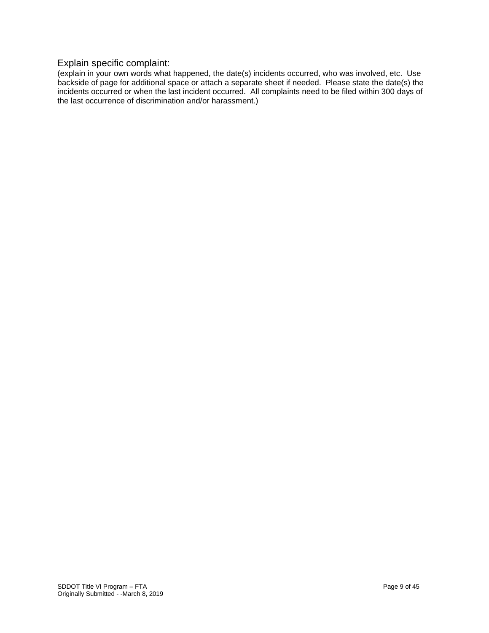### Explain specific complaint:

(explain in your own words what happened, the date(s) incidents occurred, who was involved, etc. Use backside of page for additional space or attach a separate sheet if needed. Please state the date(s) the incidents occurred or when the last incident occurred. All complaints need to be filed within 300 days of the last occurrence of discrimination and/or harassment.)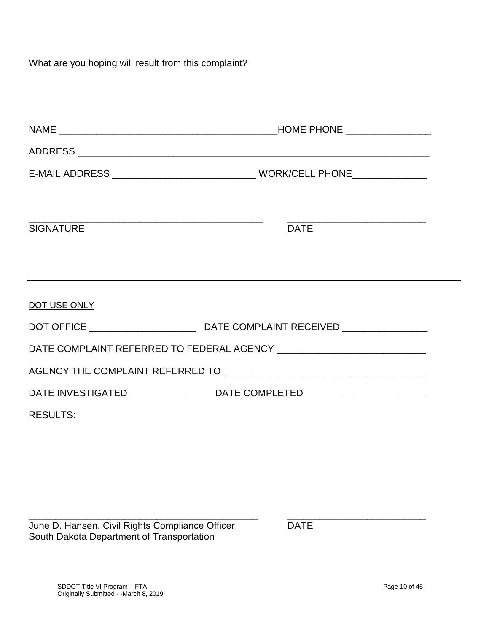What are you hoping will result from this complaint?

| <b>SIGNATURE</b> | <b>DATE</b>                                                                      |  |
|------------------|----------------------------------------------------------------------------------|--|
|                  | ,我们也不会有什么。""我们的人,我们也不会有什么?""我们的人,我们也不会有什么?""我们的人,我们也不会有什么?""我们的人,我们也不会有什么?""我们的人 |  |
| DOT USE ONLY     |                                                                                  |  |
|                  |                                                                                  |  |
|                  |                                                                                  |  |
|                  |                                                                                  |  |
|                  |                                                                                  |  |
| <b>RESULTS:</b>  |                                                                                  |  |

\_\_\_\_\_\_\_\_\_\_\_\_\_\_\_\_\_\_\_\_\_\_\_\_\_\_\_\_\_\_\_\_\_\_\_\_\_\_\_\_\_\_\_ \_\_\_\_\_\_\_\_\_\_\_\_\_\_\_\_\_\_\_\_\_\_\_\_\_\_

June D. Hansen, Civil Rights Compliance Officer DATE South Dakota Department of Transportation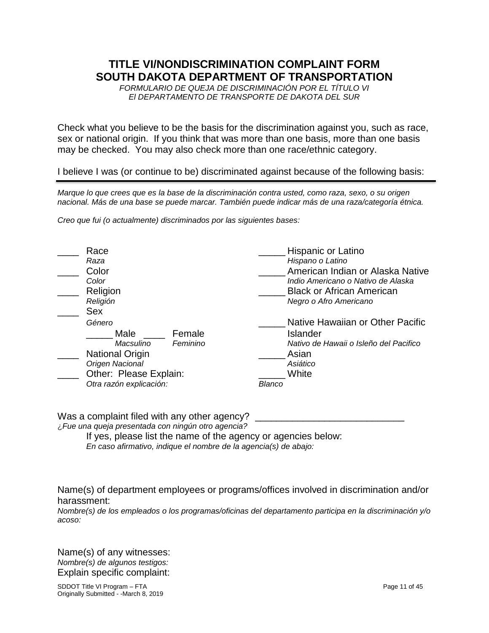### **TITLE VI/NONDISCRIMINATION COMPLAINT FORM SOUTH DAKOTA DEPARTMENT OF TRANSPORTATION**

*FORMULARIO DE QUEJA DE DISCRIMINACIÓN POR EL TÍTULO VI El DEPARTAMENTO DE TRANSPORTE DE DAKOTA DEL SUR*

Check what you believe to be the basis for the discrimination against you, such as race, sex or national origin. If you think that was more than one basis, more than one basis may be checked. You may also check more than one race/ethnic category.

I believe I was (or continue to be) discriminated against because of the following basis:

*Marque lo que crees que es la base de la discriminación contra usted, como raza, sexo, o su origen nacional. Más de una base se puede marcar. También puede indicar más de una raza/categoría étnica.*

*Creo que fui (o actualmente) discriminados por las siguientes bases:*

| Race                    |          |        | Hispanic or Latino                     |
|-------------------------|----------|--------|----------------------------------------|
| Raza                    |          |        | Hispano o Latino                       |
| Color                   |          |        | American Indian or Alaska Native       |
| Color                   |          |        | Indio Americano o Nativo de Alaska     |
| Religion                |          |        | <b>Black or African American</b>       |
| Religión                |          |        | Negro o Afro Americano                 |
| <b>Sex</b>              |          |        |                                        |
| Género                  |          |        | Native Hawaiian or Other Pacific       |
| Male                    | Female   |        | Islander                               |
| Macsulino               | Feminino |        | Nativo de Hawaii o Isleño del Pacifico |
| <b>National Origin</b>  |          |        | Asian                                  |
| Origen Nacional         |          |        | Asiático                               |
| Other: Please Explain:  |          |        | White                                  |
| Otra razón explicación: |          | Blanco |                                        |

Was a complaint filed with any other agency? ¿*Fue una queja presentada con ningún otro agencia?*

If yes, please list the name of the agency or agencies below: *En caso afirmativo, indique el nombre de la agencia(s) de abajo:* 

Name(s) of department employees or programs/offices involved in discrimination and/or harassment:

*Nombre(s) de los empleados o los programas/oficinas del departamento participa en la discriminación y/o acoso:*

Name(s) of any witnesses: *Nombre(s) de algunos testigos:* Explain specific complaint: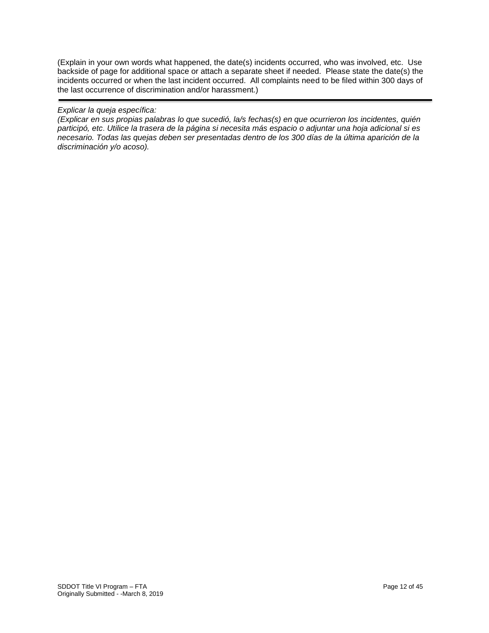(Explain in your own words what happened, the date(s) incidents occurred, who was involved, etc. Use backside of page for additional space or attach a separate sheet if needed. Please state the date(s) the incidents occurred or when the last incident occurred. All complaints need to be filed within 300 days of the last occurrence of discrimination and/or harassment.)

#### *Explicar la queja específica:*

*(Explicar en sus propias palabras lo que sucedió, la/s fechas(s) en que ocurrieron los incidentes, quién participó, etc*. *Utilice la trasera de la página si necesita más espacio o adjuntar una hoja adicional si es necesario. Todas las quejas deben ser presentadas dentro de los 300 días de la última aparición de la discriminación y/o acoso).*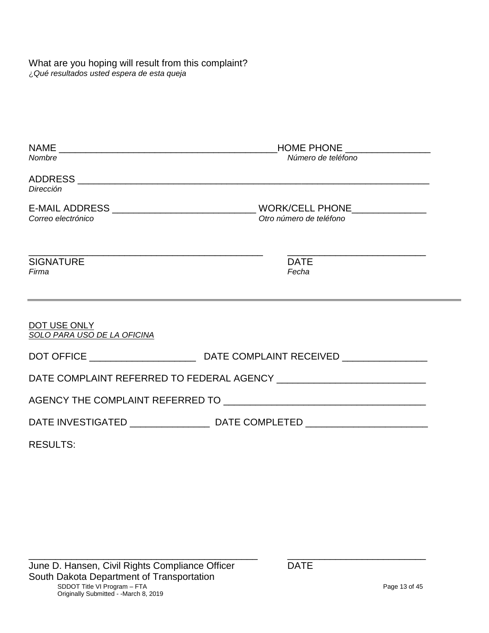What are you hoping will result from this complaint? ¿*Qué resultados usted espera de esta queja*

| Nombre                                      | Número de teléfono                                                                                   |  |
|---------------------------------------------|------------------------------------------------------------------------------------------------------|--|
|                                             |                                                                                                      |  |
| Dirección                                   |                                                                                                      |  |
|                                             |                                                                                                      |  |
| Correo electrónico                          | Otro número de teléfono                                                                              |  |
| <b>SIGNATURE</b>                            | <b>DATE</b>                                                                                          |  |
| Firma                                       | Fecha                                                                                                |  |
|                                             |                                                                                                      |  |
| DOT USE ONLY<br>SOLO PARA USO DE LA OFICINA |                                                                                                      |  |
|                                             |                                                                                                      |  |
|                                             |                                                                                                      |  |
|                                             |                                                                                                      |  |
|                                             | DATE INVESTIGATED _________________________________DATE COMPLETED __________________________________ |  |
| <b>RESULTS:</b>                             |                                                                                                      |  |

\_\_\_\_\_\_\_\_\_\_\_\_\_\_\_\_\_\_\_\_\_\_\_\_\_\_\_\_\_\_\_\_\_\_\_\_\_\_\_\_\_\_\_ \_\_\_\_\_\_\_\_\_\_\_\_\_\_\_\_\_\_\_\_\_\_\_\_\_\_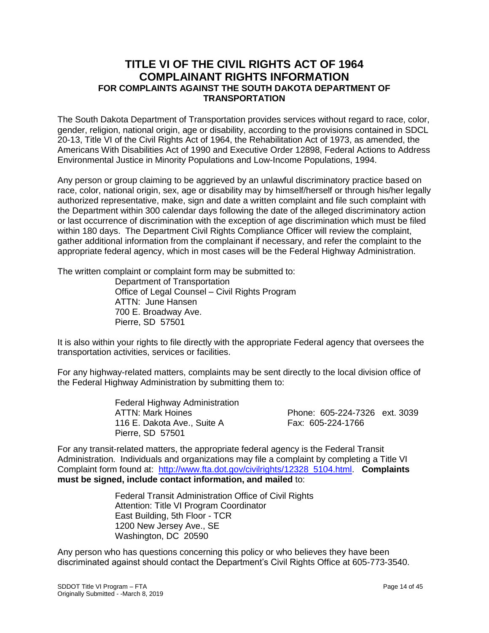### **TITLE VI OF THE CIVIL RIGHTS ACT OF 1964 COMPLAINANT RIGHTS INFORMATION FOR COMPLAINTS AGAINST THE SOUTH DAKOTA DEPARTMENT OF TRANSPORTATION**

The South Dakota Department of Transportation provides services without regard to race, color, gender, religion, national origin, age or disability, according to the provisions contained in SDCL 20-13, Title VI of the Civil Rights Act of 1964, the Rehabilitation Act of 1973, as amended, the Americans With Disabilities Act of 1990 and Executive Order 12898, Federal Actions to Address Environmental Justice in Minority Populations and Low-Income Populations, 1994.

Any person or group claiming to be aggrieved by an unlawful discriminatory practice based on race, color, national origin, sex, age or disability may by himself/herself or through his/her legally authorized representative, make, sign and date a written complaint and file such complaint with the Department within 300 calendar days following the date of the alleged discriminatory action or last occurrence of discrimination with the exception of age discrimination which must be filed within 180 days. The Department Civil Rights Compliance Officer will review the complaint, gather additional information from the complainant if necessary, and refer the complaint to the appropriate federal agency, which in most cases will be the Federal Highway Administration.

The written complaint or complaint form may be submitted to:

Department of Transportation Office of Legal Counsel – Civil Rights Program ATTN: June Hansen 700 E. Broadway Ave. Pierre, SD 57501

It is also within your rights to file directly with the appropriate Federal agency that oversees the transportation activities, services or facilities.

For any highway-related matters, complaints may be sent directly to the local division office of the Federal Highway Administration by submitting them to:

> Federal Highway Administration 116 E. Dakota Ave., Suite A Fax: 605-224-1766 Pierre, SD 57501

ATTN: Mark Hoines Phone: 605-224-7326 ext. 3039

For any transit-related matters, the appropriate federal agency is the Federal Transit Administration. Individuals and organizations may file a complaint by completing a Title VI Complaint form found at: [http://www.fta.dot.gov/civilrights/12328\\_5104.html.](http://www.fta.dot.gov/civilrights/12328_5104.html) **Complaints must be signed, include contact information, and mailed** to:

> Federal Transit Administration Office of Civil Rights Attention: Title VI Program Coordinator East Building, 5th Floor - TCR 1200 New Jersey Ave., SE Washington, DC 20590

Any person who has questions concerning this policy or who believes they have been discriminated against should contact the Department's Civil Rights Office at 605-773-3540.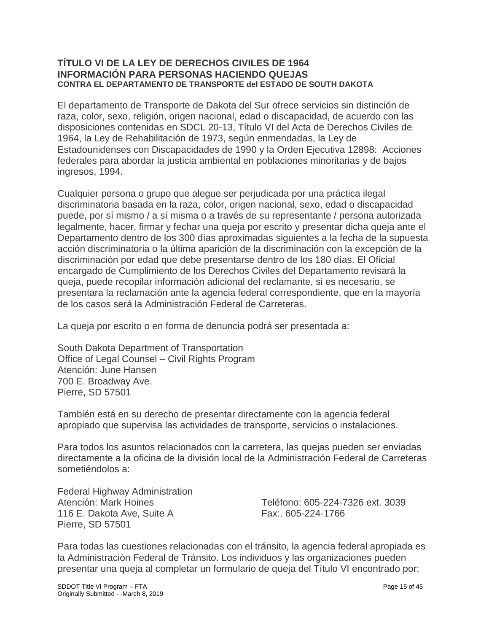### **TÍTULO VI DE LA LEY DE DERECHOS CIVILES DE 1964 INFORMACIÓN PARA PERSONAS HACIENDO QUEJAS CONTRA EL DEPARTAMENTO DE TRANSPORTE del ESTADO DE SOUTH DAKOTA**

El departamento de Transporte de Dakota del Sur ofrece servicios sin distinción de raza, color, sexo, religión, origen nacional, edad o discapacidad, de acuerdo con las disposiciones contenidas en SDCL 20-13, Título VI del Acta de Derechos Civiles de 1964, la Ley de Rehabilitación de 1973, según enmendadas, la Ley de Estadounidenses con Discapacidades de 1990 y la Orden Ejecutiva 12898: Acciones federales para abordar la justicia ambiental en poblaciones minoritarias y de bajos ingresos, 1994.

Cualquier persona o grupo que alegue ser perjudicada por una práctica ilegal discriminatoria basada en la raza, color, origen nacional, sexo, edad o discapacidad puede, por sí mismo / a sí misma o a través de su representante / persona autorizada legalmente, hacer, firmar y fechar una queja por escrito y presentar dicha queja ante el Departamento dentro de los 300 días aproximadas siguientes a la fecha de la supuesta acción discriminatoria o la última aparición de la discriminación con la excepción de la discriminación por edad que debe presentarse dentro de los 180 días. El Oficial encargado de Cumplimiento de los Derechos Civiles del Departamento revisará la queja, puede recopilar información adicional del reclamante, si es necesario, se presentara la reclamación ante la agencia federal correspondiente, que en la mayoría de los casos será la Administración Federal de Carreteras.

La queja por escrito o en forma de denuncia podrá ser presentada a:

South Dakota Department of Transportation Office of Legal Counsel – Civil Rights Program Atención: June Hansen 700 E. Broadway Ave. Pierre, SD 57501

También está en su derecho de presentar directamente con la agencia federal apropiado que supervisa las actividades de transporte, servicios o instalaciones.

Para todos los asuntos relacionados con la carretera, las quejas pueden ser enviadas directamente a la oficina de la división local de la Administración Federal de Carreteras sometiéndolos a:

Federal Highway Administration 116 E. Dakota Ave, Suite A Fax:. 605-224-1766 Pierre, SD 57501

Atención: Mark Hoines Teléfono: 605-224-7326 ext. 3039

Para todas las cuestiones relacionadas con el tránsito, la agencia federal apropiada es la Administración Federal de Tránsito. Los individuos y las organizaciones pueden presentar una queja al completar un formulario de queja del Título VI encontrado por: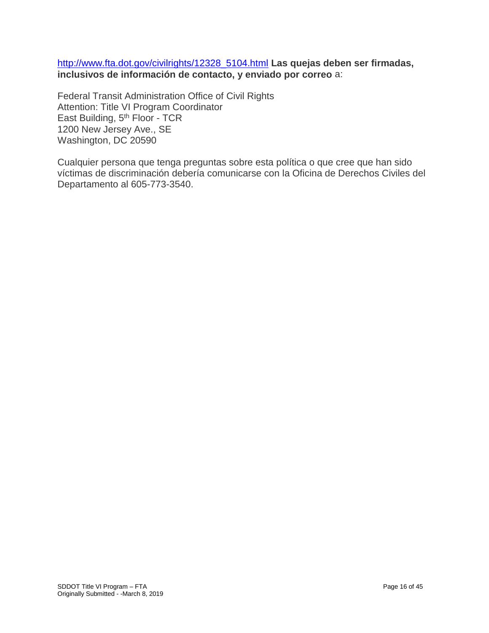[http://www.fta.dot.gov/civilrights/12328\\_5104.html](http://www.fta.dot.gov/civilrights/12328_5104.html) **Las quejas deben ser firmadas, inclusivos de información de contacto, y enviado por correo** a:

Federal Transit Administration Office of Civil Rights Attention: Title VI Program Coordinator East Building, 5<sup>th</sup> Floor - TCR 1200 New Jersey Ave., SE Washington, DC 20590

Cualquier persona que tenga preguntas sobre esta política o que cree que han sido víctimas de discriminación debería comunicarse con la Oficina de Derechos Civiles del Departamento al 605-773-3540.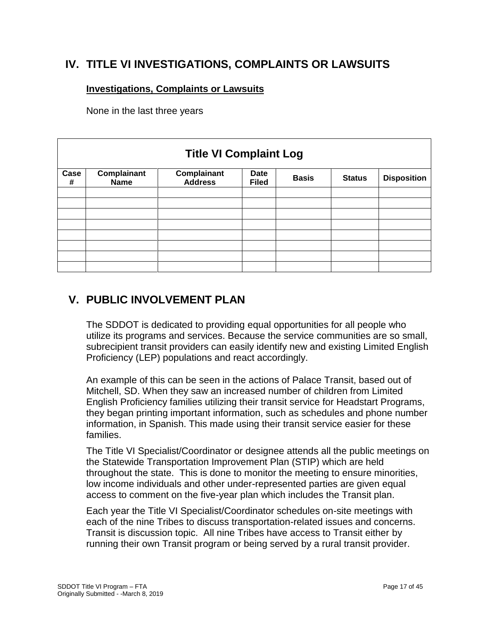### **IV. TITLE VI INVESTIGATIONS, COMPLAINTS OR LAWSUITS**

### **Investigations, Complaints or Lawsuits**

None in the last three years

| <b>Title VI Complaint Log</b> |                            |                               |                             |              |               |                    |  |
|-------------------------------|----------------------------|-------------------------------|-----------------------------|--------------|---------------|--------------------|--|
| Case<br>#                     | Complainant<br><b>Name</b> | Complainant<br><b>Address</b> | <b>Date</b><br><b>Filed</b> | <b>Basis</b> | <b>Status</b> | <b>Disposition</b> |  |
|                               |                            |                               |                             |              |               |                    |  |
|                               |                            |                               |                             |              |               |                    |  |
|                               |                            |                               |                             |              |               |                    |  |
|                               |                            |                               |                             |              |               |                    |  |
|                               |                            |                               |                             |              |               |                    |  |
|                               |                            |                               |                             |              |               |                    |  |
|                               |                            |                               |                             |              |               |                    |  |

# **V. PUBLIC INVOLVEMENT PLAN**

The SDDOT is dedicated to providing equal opportunities for all people who utilize its programs and services. Because the service communities are so small, subrecipient transit providers can easily identify new and existing Limited English Proficiency (LEP) populations and react accordingly.

An example of this can be seen in the actions of Palace Transit, based out of Mitchell, SD. When they saw an increased number of children from Limited English Proficiency families utilizing their transit service for Headstart Programs, they began printing important information, such as schedules and phone number information, in Spanish. This made using their transit service easier for these families.

The Title VI Specialist/Coordinator or designee attends all the public meetings on the Statewide Transportation Improvement Plan (STIP) which are held throughout the state. This is done to monitor the meeting to ensure minorities, low income individuals and other under-represented parties are given equal access to comment on the five-year plan which includes the Transit plan.

Each year the Title VI Specialist/Coordinator schedules on-site meetings with each of the nine Tribes to discuss transportation-related issues and concerns. Transit is discussion topic. All nine Tribes have access to Transit either by running their own Transit program or being served by a rural transit provider.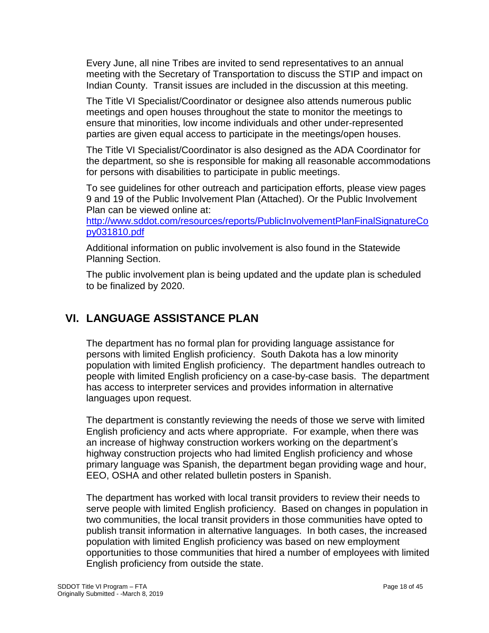Every June, all nine Tribes are invited to send representatives to an annual meeting with the Secretary of Transportation to discuss the STIP and impact on Indian County. Transit issues are included in the discussion at this meeting.

The Title VI Specialist/Coordinator or designee also attends numerous public meetings and open houses throughout the state to monitor the meetings to ensure that minorities, low income individuals and other under-represented parties are given equal access to participate in the meetings/open houses.

The Title VI Specialist/Coordinator is also designed as the ADA Coordinator for the department, so she is responsible for making all reasonable accommodations for persons with disabilities to participate in public meetings.

To see guidelines for other outreach and participation efforts, please view pages 9 and 19 of the Public Involvement Plan (Attached). Or the Public Involvement Plan can be viewed online at:

[http://www.sddot.com/resources/reports/PublicInvolvementPlanFinalSignatureCo](http://www.sddot.com/resources/reports/PublicInvolvementPlanFinalSignatureCopy031810.pdf) [py031810.pdf](http://www.sddot.com/resources/reports/PublicInvolvementPlanFinalSignatureCopy031810.pdf)

Additional information on public involvement is also found in the Statewide Planning Section.

The public involvement plan is being updated and the update plan is scheduled to be finalized by 2020.

# **VI. LANGUAGE ASSISTANCE PLAN**

The department has no formal plan for providing language assistance for persons with limited English proficiency. South Dakota has a low minority population with limited English proficiency. The department handles outreach to people with limited English proficiency on a case-by-case basis. The department has access to interpreter services and provides information in alternative languages upon request.

The department is constantly reviewing the needs of those we serve with limited English proficiency and acts where appropriate. For example, when there was an increase of highway construction workers working on the department's highway construction projects who had limited English proficiency and whose primary language was Spanish, the department began providing wage and hour, EEO, OSHA and other related bulletin posters in Spanish.

The department has worked with local transit providers to review their needs to serve people with limited English proficiency. Based on changes in population in two communities, the local transit providers in those communities have opted to publish transit information in alternative languages. In both cases, the increased population with limited English proficiency was based on new employment opportunities to those communities that hired a number of employees with limited English proficiency from outside the state.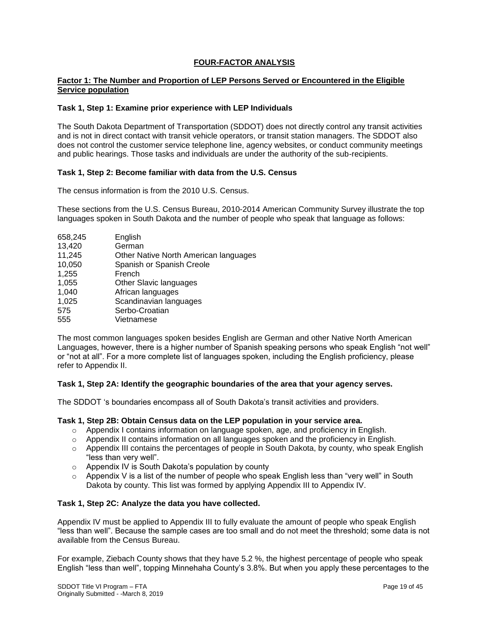#### **FOUR-FACTOR ANALYSIS**

#### **Factor 1: The Number and Proportion of LEP Persons Served or Encountered in the Eligible Service population**

#### **Task 1, Step 1: Examine prior experience with LEP Individuals**

The South Dakota Department of Transportation (SDDOT) does not directly control any transit activities and is not in direct contact with transit vehicle operators, or transit station managers. The SDDOT also does not control the customer service telephone line, agency websites, or conduct community meetings and public hearings. Those tasks and individuals are under the authority of the sub-recipients.

#### **Task 1, Step 2: Become familiar with data from the U.S. Census**

The census information is from the 2010 U.S. Census.

These sections from the U.S. Census Bureau, 2010-2014 American Community Survey illustrate the top languages spoken in South Dakota and the number of people who speak that language as follows:

| 658,245 | English                               |
|---------|---------------------------------------|
| 13,420  | German                                |
| 11,245  | Other Native North American languages |
| 10,050  | Spanish or Spanish Creole             |
| 1,255   | French                                |
| 1,055   | Other Slavic languages                |
| 1,040   | African languages                     |
| 1,025   | Scandinavian languages                |
| 575     | Serbo-Croatian                        |
| 555     | Vietnamese                            |

The most common languages spoken besides English are German and other Native North American Languages, however, there is a higher number of Spanish speaking persons who speak English "not well" or "not at all". For a more complete list of languages spoken, including the English proficiency, please refer to Appendix II.

#### **Task 1, Step 2A: Identify the geographic boundaries of the area that your agency serves.**

The SDDOT 's boundaries encompass all of South Dakota's transit activities and providers.

#### **Task 1, Step 2B: Obtain Census data on the LEP population in your service area.**

- $\circ$  Appendix I contains information on language spoken, age, and proficiency in English.
- o Appendix II contains information on all languages spoken and the proficiency in English.
- $\circ$  Appendix III contains the percentages of people in South Dakota, by county, who speak English "less than very well".
- o Appendix IV is South Dakota's population by county
- $\circ$  Appendix V is a list of the number of people who speak English less than "very well" in South Dakota by county. This list was formed by applying Appendix III to Appendix IV.

#### **Task 1, Step 2C: Analyze the data you have collected.**

Appendix IV must be applied to Appendix III to fully evaluate the amount of people who speak English "less than well". Because the sample cases are too small and do not meet the threshold; some data is not available from the Census Bureau.

For example, Ziebach County shows that they have 5.2 %, the highest percentage of people who speak English "less than well", topping Minnehaha County's 3.8%. But when you apply these percentages to the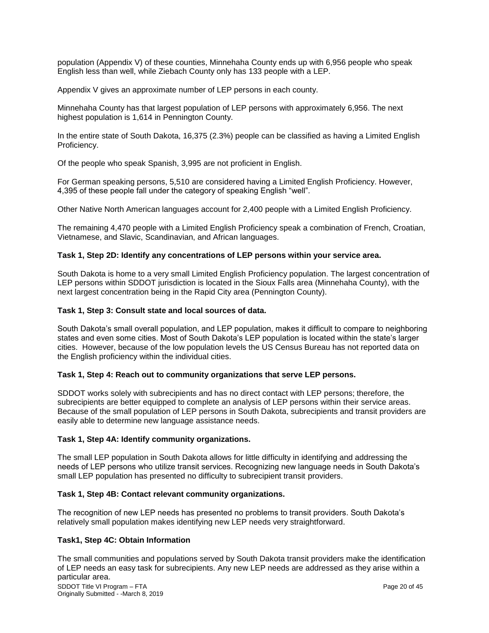population (Appendix V) of these counties, Minnehaha County ends up with 6,956 people who speak English less than well, while Ziebach County only has 133 people with a LEP.

Appendix V gives an approximate number of LEP persons in each county.

Minnehaha County has that largest population of LEP persons with approximately 6,956. The next highest population is 1,614 in Pennington County.

In the entire state of South Dakota, 16,375 (2.3%) people can be classified as having a Limited English Proficiency.

Of the people who speak Spanish, 3,995 are not proficient in English.

For German speaking persons, 5,510 are considered having a Limited English Proficiency. However, 4,395 of these people fall under the category of speaking English "well".

Other Native North American languages account for 2,400 people with a Limited English Proficiency.

The remaining 4,470 people with a Limited English Proficiency speak a combination of French, Croatian, Vietnamese, and Slavic, Scandinavian, and African languages.

#### **Task 1, Step 2D: Identify any concentrations of LEP persons within your service area.**

South Dakota is home to a very small Limited English Proficiency population. The largest concentration of LEP persons within SDDOT jurisdiction is located in the Sioux Falls area (Minnehaha County), with the next largest concentration being in the Rapid City area (Pennington County).

#### **Task 1, Step 3: Consult state and local sources of data.**

South Dakota's small overall population, and LEP population, makes it difficult to compare to neighboring states and even some cities. Most of South Dakota's LEP population is located within the state's larger cities. However, because of the low population levels the US Census Bureau has not reported data on the English proficiency within the individual cities.

#### **Task 1, Step 4: Reach out to community organizations that serve LEP persons.**

SDDOT works solely with subrecipients and has no direct contact with LEP persons; therefore, the subrecipients are better equipped to complete an analysis of LEP persons within their service areas. Because of the small population of LEP persons in South Dakota, subrecipients and transit providers are easily able to determine new language assistance needs.

#### **Task 1, Step 4A: Identify community organizations.**

The small LEP population in South Dakota allows for little difficulty in identifying and addressing the needs of LEP persons who utilize transit services. Recognizing new language needs in South Dakota's small LEP population has presented no difficulty to subrecipient transit providers.

#### **Task 1, Step 4B: Contact relevant community organizations.**

The recognition of new LEP needs has presented no problems to transit providers. South Dakota's relatively small population makes identifying new LEP needs very straightforward.

#### **Task1, Step 4C: Obtain Information**

SDDOT Title VI Program – FTA Page 20 of 45 Originally Submitted - -March 8, 2019 The small communities and populations served by South Dakota transit providers make the identification of LEP needs an easy task for subrecipients. Any new LEP needs are addressed as they arise within a particular area.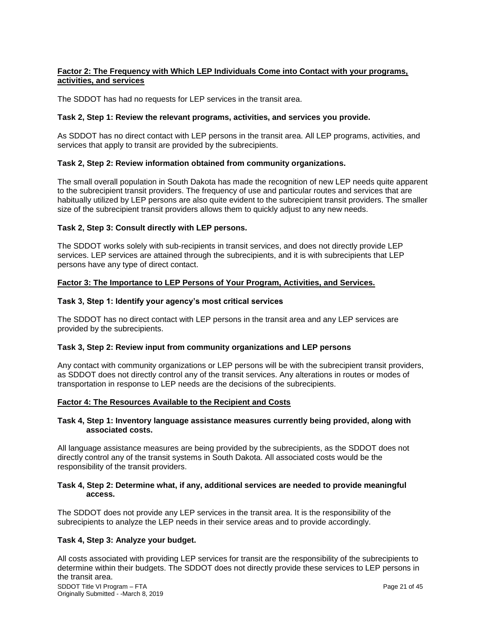#### **Factor 2: The Frequency with Which LEP Individuals Come into Contact with your programs, activities, and services**

The SDDOT has had no requests for LEP services in the transit area.

#### **Task 2, Step 1: Review the relevant programs, activities, and services you provide.**

As SDDOT has no direct contact with LEP persons in the transit area. All LEP programs, activities, and services that apply to transit are provided by the subrecipients.

#### **Task 2, Step 2: Review information obtained from community organizations.**

The small overall population in South Dakota has made the recognition of new LEP needs quite apparent to the subrecipient transit providers. The frequency of use and particular routes and services that are habitually utilized by LEP persons are also quite evident to the subrecipient transit providers. The smaller size of the subrecipient transit providers allows them to quickly adjust to any new needs.

#### **Task 2, Step 3: Consult directly with LEP persons.**

The SDDOT works solely with sub-recipients in transit services, and does not directly provide LEP services. LEP services are attained through the subrecipients, and it is with subrecipients that LEP persons have any type of direct contact.

#### **Factor 3: The Importance to LEP Persons of Your Program, Activities, and Services.**

#### **Task 3, Step 1: Identify your agency's most critical services**

The SDDOT has no direct contact with LEP persons in the transit area and any LEP services are provided by the subrecipients.

#### **Task 3, Step 2: Review input from community organizations and LEP persons**

Any contact with community organizations or LEP persons will be with the subrecipient transit providers, as SDDOT does not directly control any of the transit services. Any alterations in routes or modes of transportation in response to LEP needs are the decisions of the subrecipients.

#### **Factor 4: The Resources Available to the Recipient and Costs**

#### **Task 4, Step 1: Inventory language assistance measures currently being provided, along with associated costs.**

All language assistance measures are being provided by the subrecipients, as the SDDOT does not directly control any of the transit systems in South Dakota. All associated costs would be the responsibility of the transit providers.

#### **Task 4, Step 2: Determine what, if any, additional services are needed to provide meaningful access.**

The SDDOT does not provide any LEP services in the transit area. It is the responsibility of the subrecipients to analyze the LEP needs in their service areas and to provide accordingly.

#### **Task 4, Step 3: Analyze your budget.**

SDDOT Title VI Program – FTA Page 21 of 45 Originally Submitted - -March 8, 2019 All costs associated with providing LEP services for transit are the responsibility of the subrecipients to determine within their budgets. The SDDOT does not directly provide these services to LEP persons in the transit area.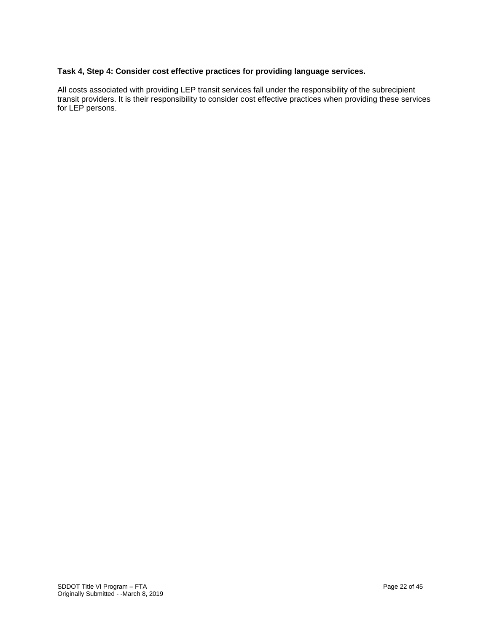#### **Task 4, Step 4: Consider cost effective practices for providing language services.**

All costs associated with providing LEP transit services fall under the responsibility of the subrecipient transit providers. It is their responsibility to consider cost effective practices when providing these services for LEP persons.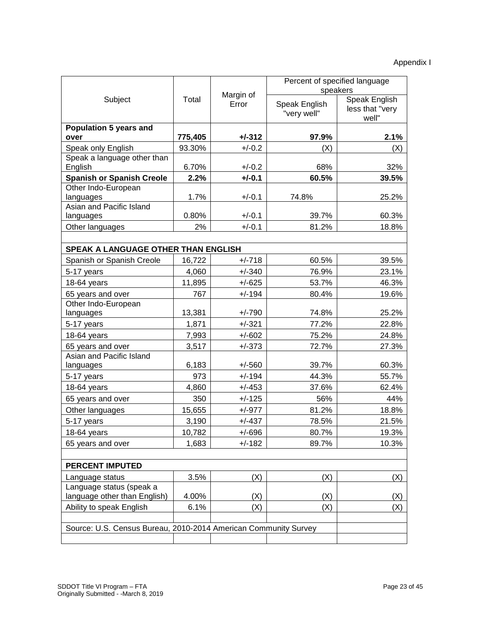|                                                                 |         |                    | Percent of specified language<br>speakers |                                                  |  |  |
|-----------------------------------------------------------------|---------|--------------------|-------------------------------------------|--------------------------------------------------|--|--|
| Subject                                                         | Total   | Margin of<br>Error | Speak English<br>"very well"              | <b>Speak English</b><br>less that "very<br>well" |  |  |
| <b>Population 5 years and</b><br>over                           | 775,405 | $+/-312$           | 97.9%                                     | 2.1%                                             |  |  |
| Speak only English                                              | 93.30%  | $+/-0.2$           | (X)                                       | (X)                                              |  |  |
| Speak a language other than<br>English                          | 6.70%   | $+/-0.2$           | 68%                                       | 32%                                              |  |  |
| <b>Spanish or Spanish Creole</b>                                | 2.2%    | $+/-0.1$           | 60.5%                                     | 39.5%                                            |  |  |
| Other Indo-European                                             |         |                    |                                           |                                                  |  |  |
| languages                                                       | 1.7%    | $+/-0.1$           | 74.8%                                     | 25.2%                                            |  |  |
| Asian and Pacific Island                                        | 0.80%   | $+/-0.1$           | 39.7%                                     | 60.3%                                            |  |  |
| languages<br>Other languages                                    | 2%      | $+/-0.1$           | 81.2%                                     | 18.8%                                            |  |  |
|                                                                 |         |                    |                                           |                                                  |  |  |
| SPEAK A LANGUAGE OTHER THAN ENGLISH                             |         |                    |                                           |                                                  |  |  |
| Spanish or Spanish Creole                                       | 16,722  | $+/-718$           | 60.5%                                     | 39.5%                                            |  |  |
| 5-17 years                                                      | 4,060   | $+/-340$           | 76.9%                                     | 23.1%                                            |  |  |
| 18-64 years                                                     | 11,895  | $+/-625$           | 53.7%                                     | 46.3%                                            |  |  |
| 65 years and over                                               | 767     | $+/-194$           | 80.4%                                     | 19.6%                                            |  |  |
| Other Indo-European                                             |         |                    |                                           |                                                  |  |  |
| languages                                                       | 13,381  | $+/-790$           | 74.8%                                     | 25.2%                                            |  |  |
| 5-17 years                                                      | 1,871   | $+/-321$           | 77.2%                                     | 22.8%                                            |  |  |
| 18-64 years                                                     | 7,993   | $+/-602$           | 75.2%                                     | 24.8%                                            |  |  |
| 65 years and over                                               | 3,517   | $+/-373$           | 72.7%                                     | 27.3%                                            |  |  |
| Asian and Pacific Island                                        |         |                    |                                           |                                                  |  |  |
| languages                                                       | 6,183   | $+/-560$           | 39.7%                                     | 60.3%                                            |  |  |
| 5-17 years                                                      | 973     | $+/-194$           | 44.3%                                     | 55.7%                                            |  |  |
| 18-64 years                                                     | 4,860   | $+/-453$           | 37.6%                                     | 62.4%                                            |  |  |
| 65 years and over                                               | 350     | $+/-125$           | 56%                                       | 44%                                              |  |  |
| Other languages                                                 | 15,655  | $+/-977$           | 81.2%                                     | 18.8%                                            |  |  |
| 5-17 years                                                      | 3,190   | $+/-437$           | 78.5%                                     | 21.5%                                            |  |  |
| 18-64 years                                                     | 10,782  | $+/-696$           | 80.7%                                     | 19.3%                                            |  |  |
| 65 years and over                                               | 1,683   | $+/-182$           | 89.7%                                     | 10.3%                                            |  |  |
|                                                                 |         |                    |                                           |                                                  |  |  |
| <b>PERCENT IMPUTED</b>                                          |         |                    |                                           |                                                  |  |  |
| Language status                                                 | 3.5%    | (X)                | (X)                                       | (X)                                              |  |  |
| Language status (speak a                                        |         |                    |                                           |                                                  |  |  |
| language other than English)                                    | 4.00%   | (X)                | (X)                                       | (X)                                              |  |  |
| Ability to speak English                                        | 6.1%    | (X)                | (X)                                       | (X)                                              |  |  |
|                                                                 |         |                    |                                           |                                                  |  |  |
| Source: U.S. Census Bureau, 2010-2014 American Community Survey |         |                    |                                           |                                                  |  |  |
|                                                                 |         |                    |                                           |                                                  |  |  |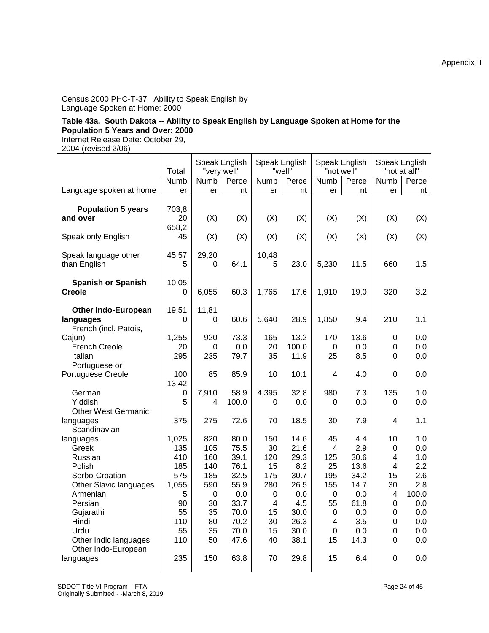Census 2000 PHC-T-37. Ability to Speak English by Language Spoken at Home: 2000

#### **Table 43a. South Dakota -- Ability to Speak English by Language Spoken at Home for the Population 5 Years and Over: 2000**

Internet Release Date: October 29,

2004 (revised 2/06)

|                                                                  | Total                | Speak English<br>"very well" |               | Speak English    | "well" | Speak English<br>"not well" |       | Speak English<br>"not at all" |            |
|------------------------------------------------------------------|----------------------|------------------------------|---------------|------------------|--------|-----------------------------|-------|-------------------------------|------------|
|                                                                  | Numb                 | Numb                         | Perce         | Numb             | Perce  | Numb                        | Perce | Numb                          | Perce      |
| Language spoken at home                                          | er                   | er                           | nt            | er               | nt     | er                          | nt    | er                            | nt         |
| <b>Population 5 years</b><br>and over                            | 703,8<br>20<br>658,2 | (X)                          | (X)           | (X)              | (X)    | (X)                         | (X)   | (X)                           | (X)        |
| Speak only English                                               | 45                   | (X)                          | (X)           | (X)              | (X)    | (X)                         | (X)   | (X)                           | (X)        |
| Speak language other<br>than English                             | 45,57<br>5           | 29,20<br>0                   | 64.1          | 10,48<br>5       | 23.0   | 5,230                       | 11.5  | 660                           | 1.5        |
| <b>Spanish or Spanish</b><br><b>Creole</b>                       | 10,05<br>0           | 6,055                        | 60.3          | 1,765            | 17.6   | 1,910                       | 19.0  | 320                           | 3.2        |
| <b>Other Indo-European</b><br>languages<br>French (incl. Patois, | 19,51<br>0           | 11,81<br>0                   | 60.6          | 5,640            | 28.9   | 1,850                       | 9.4   | 210                           | 1.1        |
| Cajun)                                                           | 1,255                | 920                          | 73.3          | 165              | 13.2   | 170                         | 13.6  | 0                             | 0.0        |
| <b>French Creole</b>                                             | 20                   | 0                            | 0.0           | 20               | 100.0  | 0                           | 0.0   | $\boldsymbol{0}$              | 0.0        |
| Italian                                                          | 295                  | 235                          | 79.7          | 35               | 11.9   | 25                          | 8.5   | 0                             | 0.0        |
| Portuguese or<br>Portuguese Creole                               | 100                  | 85                           | 85.9          | 10               | 10.1   | 4                           | 4.0   | 0                             | 0.0        |
|                                                                  | 13,42                |                              |               | 4,395            | 32.8   |                             |       |                               |            |
| German<br>Yiddish                                                | 0<br>5               | 7,910<br>4                   | 58.9<br>100.0 | 0                | 0.0    | 980<br>0                    | 7.3   | 135<br>0                      | 1.0<br>0.0 |
| <b>Other West Germanic</b>                                       |                      |                              |               |                  |        |                             | 0.0   |                               |            |
| languages                                                        | 375                  | 275                          | 72.6          | 70               | 18.5   | 30                          | 7.9   | 4                             | 1.1        |
| Scandinavian                                                     |                      |                              |               |                  |        |                             |       |                               |            |
| languages                                                        | 1,025                | 820                          | 80.0          | 150              | 14.6   | 45                          | 4.4   | 10                            | 1.0        |
| Greek                                                            | 135                  | 105                          | 75.5          | 30               | 21.6   | 4                           | 2.9   | 0                             | 0.0        |
| Russian                                                          | 410                  | 160                          | 39.1          | 120              | 29.3   | 125                         | 30.6  | 4                             | 1.0        |
| Polish                                                           | 185                  | 140                          | 76.1          | 15               | 8.2    | 25                          | 13.6  | 4                             | 2.2        |
| Serbo-Croatian                                                   | 575                  | 185                          | 32.5          | 175              | 30.7   | 195                         | 34.2  | 15                            | 2.6        |
| Other Slavic languages                                           | 1,055                | 590                          | 55.9          | 280              | 26.5   | 155                         | 14.7  | 30                            | 2.8        |
| Armenian                                                         | 5                    | $\mathbf 0$                  | 0.0           | $\boldsymbol{0}$ | 0.0    | $\boldsymbol{0}$            | 0.0   | 4                             | 100.0      |
| Persian                                                          | 90                   | 30                           | 33.7          | 4                | 4.5    | 55                          | 61.8  | 0                             | 0.0        |
| Gujarathi                                                        | 55                   | 35                           | 70.0          | 15               | 30.0   | 0                           | 0.0   | 0                             | 0.0        |
| Hindi                                                            | 110                  | 80                           | 70.2          | 30               | 26.3   | 4                           | 3.5   | $\boldsymbol{0}$              | 0.0        |
| Urdu                                                             | 55                   | 35                           | 70.0          | 15               | 30.0   | 0                           | 0.0   | $\boldsymbol{0}$              | 0.0        |
| Other Indic languages                                            | 110                  | 50                           | 47.6          | 40               | 38.1   | 15                          | 14.3  | 0                             | 0.0        |
| Other Indo-European<br>languages                                 | 235                  | 150                          | 63.8          | 70               | 29.8   | 15                          | 6.4   | 0                             | 0.0        |

Appendix II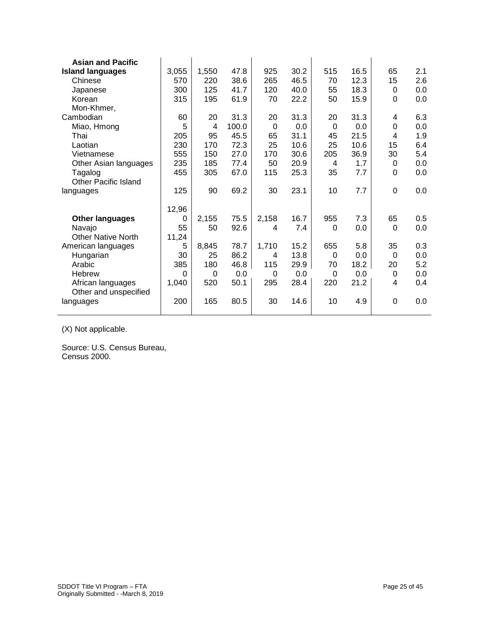| <b>Asian and Pacific</b>    |          |       |       |          |      |          |      |                |     |
|-----------------------------|----------|-------|-------|----------|------|----------|------|----------------|-----|
| <b>Island languages</b>     | 3,055    | 1,550 | 47.8  | 925      | 30.2 | 515      | 16.5 | 65             | 2.1 |
| Chinese                     | 570      | 220   | 38.6  | 265      | 46.5 | 70       | 12.3 | 15             | 2.6 |
| Japanese                    | 300      | 125   | 41.7  | 120      | 40.0 | 55       | 18.3 | 0              | 0.0 |
| Korean                      | 315      | 195   | 61.9  | 70       | 22.2 | 50       | 15.9 | $\overline{0}$ | 0.0 |
| Mon-Khmer,                  |          |       |       |          |      |          |      |                |     |
| Cambodian                   | 60       | 20    | 31.3  | 20       | 31.3 | 20       | 31.3 | 4              | 6.3 |
| Miao, Hmong                 | 5        | 4     | 100.0 | $\Omega$ | 0.0  | $\Omega$ | 0.0  | $\mathbf 0$    | 0.0 |
| Thai                        | 205      | 95    | 45.5  | 65       | 31.1 | 45       | 21.5 | 4              | 1.9 |
| Laotian                     | 230      | 170   | 72.3  | 25       | 10.6 | 25       | 10.6 | 15             | 6.4 |
| Vietnamese                  | 555      | 150   | 27.0  | 170      | 30.6 | 205      | 36.9 | 30             | 5.4 |
| Other Asian languages       | 235      | 185   | 77.4  | 50       | 20.9 | 4        | 1.7  | 0              | 0.0 |
| Tagalog                     | 455      | 305   | 67.0  | 115      | 25.3 | 35       | 7.7  | 0              | 0.0 |
| <b>Other Pacific Island</b> |          |       |       |          |      |          |      |                |     |
| languages                   | 125      | 90    | 69.2  | 30       | 23.1 | 10       | 7.7  | 0              | 0.0 |
|                             |          |       |       |          |      |          |      |                |     |
|                             | 12,96    |       |       |          |      |          |      |                |     |
| <b>Other languages</b>      | 0        | 2,155 | 75.5  | 2,158    | 16.7 | 955      | 7.3  | 65             | 0.5 |
| Navajo                      | 55       | 50    | 92.6  | 4        | 7.4  | 0        | 0.0  | $\Omega$       | 0.0 |
| <b>Other Native North</b>   | 11,24    |       |       |          |      |          |      |                |     |
| American languages          | 5        | 8,845 | 78.7  | 1,710    | 15.2 | 655      | 5.8  | 35             | 0.3 |
| Hungarian                   | 30       | 25    | 86.2  | 4        | 13.8 | 0        | 0.0  | 0              | 0.0 |
| Arabic                      | 385      | 180   | 46.8  | 115      | 29.9 | 70       | 18.2 | 20             | 5.2 |
| <b>Hebrew</b>               | $\Omega$ | 0     | 0.0   | $\Omega$ | 0.0  | $\Omega$ | 0.0  | 0              | 0.0 |
| African languages           | 1,040    | 520   | 50.1  | 295      | 28.4 | 220      | 21.2 | 4              | 0.4 |
| Other and unspecified       |          |       |       |          |      |          |      |                |     |
| languages                   | 200      | 165   | 80.5  | 30       | 14.6 | 10       | 4.9  | 0              | 0.0 |
|                             |          |       |       |          |      |          |      |                |     |

(X) Not applicable.

Source: U.S. Census Bureau, Census 2000.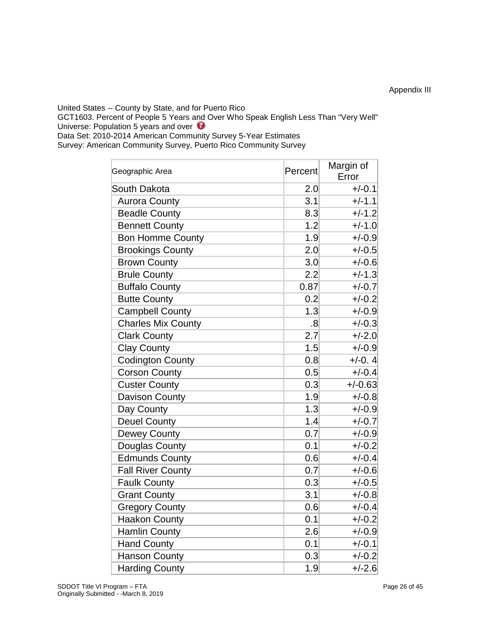United States -- County by State, and for Puerto Rico

GCT1603. Percent of People 5 Years a[nd](javascript:openMetadataBrowser() Over Who Speak English Less Than "Very Well" Universe: Population 5 years and over  $\bullet$ 

Data Set: 2010-2014 American Community Survey 5-Year Estimates

Survey: American Community Survey, Puerto Rico Community Survey

| Geographic Area           | Percent        | Margin of<br>Error |  |  |
|---------------------------|----------------|--------------------|--|--|
| South Dakota              | 2.0            | $+/-0.1$           |  |  |
| <b>Aurora County</b>      | 3.1            | $+/-1.1$           |  |  |
| <b>Beadle County</b>      | 8.3            | $+/-1.2$           |  |  |
| <b>Bennett County</b>     | 1.2            | $+/-1.0$           |  |  |
| <b>Bon Homme County</b>   | 1.9            | $+/-0.9$           |  |  |
| <b>Brookings County</b>   | 2.0            | $+/-0.5$           |  |  |
| <b>Brown County</b>       | 3.0            | $+/-0.6$           |  |  |
| <b>Brule County</b>       | 2.2            | $+/-1.3$           |  |  |
| <b>Buffalo County</b>     | 0.87           | $+/-0.7$           |  |  |
| <b>Butte County</b>       | 0.2            | $+/-0.2$           |  |  |
| <b>Campbell County</b>    | 1.3            | $+/-0.9$           |  |  |
| <b>Charles Mix County</b> | $\overline{8}$ | $+/-0.3$           |  |  |
| <b>Clark County</b>       | 2.7            | $+/-2.0$           |  |  |
| <b>Clay County</b>        | 1.5            | $+/-0.9$           |  |  |
| <b>Codington County</b>   | 0.8            | $+/-0.4$           |  |  |
| <b>Corson County</b>      | 0.5            | $+/-0.4$           |  |  |
| <b>Custer County</b>      | 0.3            | $+/-0.63$          |  |  |
| Davison County            | 1.9            | $+/-0.8$           |  |  |
| Day County                | 1.3            | $+/-0.9$           |  |  |
| <b>Deuel County</b>       | 1.4            | $+/-0.7$           |  |  |
| <b>Dewey County</b>       | 0.7            | $+/-0.9$           |  |  |
| Douglas County            | 0.1            | $+/-0.2$           |  |  |
| <b>Edmunds County</b>     | 0.6            | $+/-0.4$           |  |  |
| <b>Fall River County</b>  | 0.7            | $+/-0.6$           |  |  |
| <b>Faulk County</b>       | 0.3            | $+/-0.5$           |  |  |
| <b>Grant County</b>       | 3.1            | $+/-0.8$           |  |  |
| <b>Gregory County</b>     | 0.6            | $+/-0.4$           |  |  |
| <b>Haakon County</b>      | 0.1            | $+/-0.2$           |  |  |
| <b>Hamlin County</b>      | 2.6            | $+/-0.9$           |  |  |
| <b>Hand County</b>        | 0.1            | $+/-0.1$           |  |  |
| <b>Hanson County</b>      | 0.3            | $+/-0.2$           |  |  |
| <b>Harding County</b>     | 1.9            | $+/-2.6$           |  |  |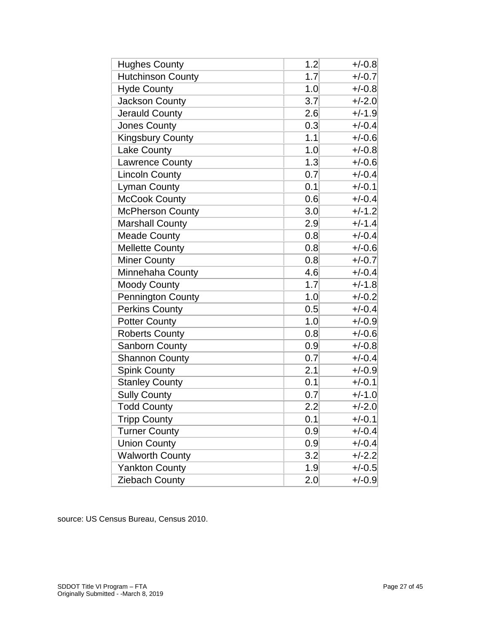| <b>Hughes County</b>     | 1.2 | $+/-0.8$ |
|--------------------------|-----|----------|
| <b>Hutchinson County</b> | 1.7 | $+/-0.7$ |
| <b>Hyde County</b>       | 1.0 | $+/-0.8$ |
| <b>Jackson County</b>    | 3.7 | $+/-2.0$ |
| <b>Jerauld County</b>    | 2.6 | $+/-1.9$ |
| <b>Jones County</b>      | 0.3 | $+/-0.4$ |
| <b>Kingsbury County</b>  | 1.1 | $+/-0.6$ |
| Lake County              | 1.0 | $+/-0.8$ |
| <b>Lawrence County</b>   | 1.3 | $+/-0.6$ |
| <b>Lincoln County</b>    | 0.7 | $+/-0.4$ |
| <b>Lyman County</b>      | 0.1 | $+/-0.1$ |
| <b>McCook County</b>     | 0.6 | $+/-0.4$ |
| <b>McPherson County</b>  | 3.0 | $+/-1.2$ |
| <b>Marshall County</b>   | 2.9 | $+/-1.4$ |
| <b>Meade County</b>      | 0.8 | $+/-0.4$ |
| <b>Mellette County</b>   | 0.8 | $+/-0.6$ |
| <b>Miner County</b>      | 0.8 | $+/-0.7$ |
| Minnehaha County         | 4.6 | $+/-0.4$ |
| <b>Moody County</b>      | 1.7 | $+/-1.8$ |
| <b>Pennington County</b> | 1.0 | $+/-0.2$ |
| <b>Perkins County</b>    | 0.5 | $+/-0.4$ |
| <b>Potter County</b>     | 1.0 | $+/-0.9$ |
| <b>Roberts County</b>    | 0.8 | $+/-0.6$ |
| <b>Sanborn County</b>    | 0.9 | $+/-0.8$ |
| <b>Shannon County</b>    | 0.7 | $+/-0.4$ |
| <b>Spink County</b>      | 2.1 | $+/-0.9$ |
| <b>Stanley County</b>    | 0.1 | $+/-0.1$ |
| <b>Sully County</b>      | 0.7 | $+/-1.0$ |
| <b>Todd County</b>       | 2.2 | $+/-2.0$ |
| <b>Tripp County</b>      | 0.1 | $+/-0.1$ |
| <b>Turner County</b>     | 0.9 | $+/-0.4$ |
| <b>Union County</b>      | 0.9 | $+/-0.4$ |
| <b>Walworth County</b>   | 3.2 | $+/-2.2$ |
| <b>Yankton County</b>    | 1.9 | $+/-0.5$ |
| Ziebach County           | 2.0 | $+/-0.9$ |

source: US Census Bureau, Census 20 10.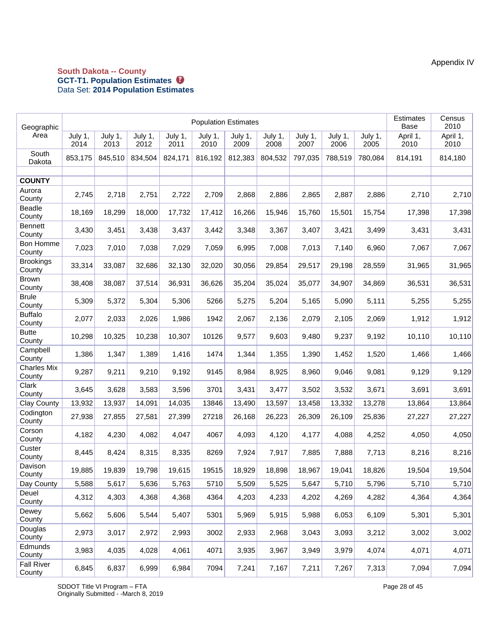#### **South Dakota -- County GCT-T1. Population Estimates**  Data Set: **2014 Population Estimates**

| Geographic                   | <b>Population Estimates</b> |                 |                 |                 |                 |                 |                 |                 |                 |                 | <b>Estimates</b><br>Base | Census<br>2010   |
|------------------------------|-----------------------------|-----------------|-----------------|-----------------|-----------------|-----------------|-----------------|-----------------|-----------------|-----------------|--------------------------|------------------|
| Area                         | July 1,<br>2014             | July 1,<br>2013 | July 1,<br>2012 | July 1,<br>2011 | July 1,<br>2010 | July 1,<br>2009 | July 1,<br>2008 | July 1,<br>2007 | July 1,<br>2006 | July 1,<br>2005 | April 1,<br>2010         | April 1,<br>2010 |
| South<br>Dakota              | 853,175                     | 845,510         | 834,504         | 824,171         | 816,192         | 812,383         | 804,532         | 797,035         | 788,519         | 780,084         | 814,191                  | 814,180          |
|                              |                             |                 |                 |                 |                 |                 |                 |                 |                 |                 |                          |                  |
| <b>COUNTY</b><br>Aurora      |                             |                 |                 |                 |                 |                 |                 |                 |                 |                 |                          |                  |
| County                       | 2,745                       | 2,718           | 2,751           | 2,722           | 2,709           | 2,868           | 2,886           | 2,865           | 2,887           | 2,886           | 2,710                    | 2,710            |
| Beadle<br>County             | 18,169                      | 18,299          | 18,000          | 17,732          | 17,412          | 16,266          | 15,946          | 15,760          | 15,501          | 15,754          | 17,398                   | 17,398           |
| <b>Bennett</b><br>County     | 3,430                       | 3,451           | 3,438           | 3,437           | 3,442           | 3,348           | 3,367           | 3,407           | 3,421           | 3,499           | 3,431                    | 3,431            |
| Bon Homme<br>County          | 7,023                       | 7,010           | 7,038           | 7,029           | 7,059           | 6,995           | 7,008           | 7,013           | 7,140           | 6,960           | 7,067                    | 7,067            |
| <b>Brookings</b><br>County   | 33,314                      | 33,087          | 32,686          | 32,130          | 32,020          | 30,056          | 29,854          | 29,517          | 29,198          | 28,559          | 31,965                   | 31,965           |
| <b>Brown</b><br>County       | 38,408                      | 38,087          | 37,514          | 36,931          | 36,626          | 35,204          | 35,024          | 35,077          | 34,907          | 34,869          | 36,531                   | 36,531           |
| <b>Brule</b><br>County       | 5,309                       | 5,372           | 5,304           | 5,306           | 5266            | 5,275           | 5,204           | 5,165           | 5,090           | 5,111           | 5,255                    | 5,255            |
| <b>Buffalo</b><br>County     | 2,077                       | 2,033           | 2,026           | 1,986           | 1942            | 2,067           | 2,136           | 2,079           | 2,105           | 2,069           | 1,912                    | 1,912            |
| <b>Butte</b><br>County       | 10,298                      | 10,325          | 10,238          | 10,307          | 10126           | 9,577           | 9,603           | 9,480           | 9,237           | 9,192           | 10,110                   | 10,110           |
| Campbell<br>County           | 1,386                       | 1,347           | 1,389           | 1,416           | 1474            | 1,344           | 1,355           | 1,390           | 1,452           | 1,520           | 1,466                    | 1,466            |
| <b>Charles Mix</b><br>County | 9,287                       | 9,211           | 9,210           | 9,192           | 9145            | 8,984           | 8,925           | 8,960           | 9,046           | 9,081           | 9,129                    | 9,129            |
| Clark<br>County              | 3,645                       | 3,628           | 3,583           | 3,596           | 3701            | 3,431           | 3,477           | 3,502           | 3,532           | 3,671           | 3,691                    | 3,691            |
| <b>Clay County</b>           | 13,932                      | 13,937          | 14,091          | 14,035          | 13846           | 13,490          | 13,597          | 13,458          | 13,332          | 13,278          | 13,864                   | 13,864           |
| Codington<br>County          | 27,938                      | 27,855          | 27,581          | 27,399          | 27218           | 26,168          | 26,223          | 26,309          | 26,109          | 25,836          | 27,227                   | 27,227           |
| Corson<br>County             | 4,182                       | 4,230           | 4,082           | 4,047           | 4067            | 4,093           | 4,120           | 4,177           | 4,088           | 4,252           | 4,050                    | 4,050            |
| Custer<br>County             | 8,445                       | 8,424           | 8,315           | 8,335           | 8269            | 7,924           | 7,917           | 7,885           | 7,888           | 7,713           | 8,216                    | 8,216            |
| Davison<br>County            | 19,885                      | 19,839          | 19,798          | 19,615          | 19515           | 18,929          | 18,898          | 18,967          | 19,041          | 18,826          | 19,504                   | 19,504           |
| Day County                   | 5,588                       | 5,617           | 5,636           | 5,763           | 5710            | 5,509           | 5,525           | 5,647           | 5,710           | 5,796           | 5,710                    | 5,710            |
| Deuel<br>County              | 4,312                       | 4,303           | 4,368           | 4,368           | 4364            | 4,203           | 4,233           | 4,202           | 4,269           | 4,282           | 4,364                    | 4,364            |
| Dewey<br>County              | 5,662                       | 5,606           | 5,544           | 5,407           | 5301            | 5,969           | 5,915           | 5,988           | 6,053           | 6,109           | 5,301                    | 5,301            |
| Douglas<br>County            | 2,973                       | 3,017           | 2,972           | 2,993           | 3002            | 2,933           | 2,968           | 3,043           | 3,093           | 3,212           | 3,002                    | 3,002            |
| Edmunds<br>County            | 3,983                       | 4,035           | 4,028           | 4,061           | 4071            | 3,935           | 3,967           | 3,949           | 3,979           | 4,074           | 4,071                    | 4,071            |
| <b>Fall River</b><br>County  | 6,845                       | 6,837           | 6,999           | 6,984           | 7094            | 7,241           | 7,167           | 7,211           | 7,267           | 7,313           | 7,094                    | 7,094            |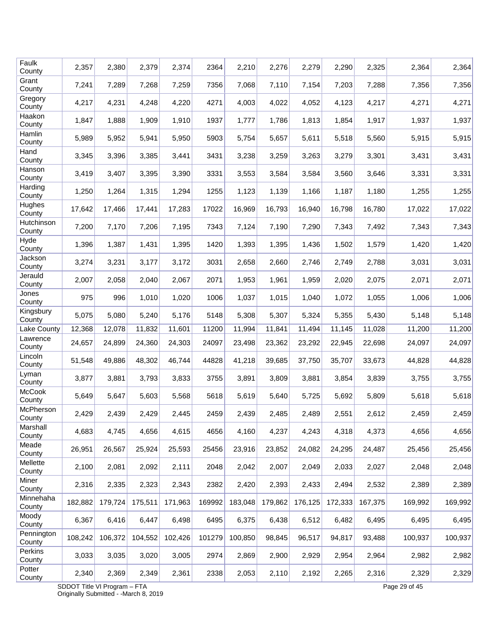| Faulk<br>County      | 2,357   | 2,380   | 2,379   | 2,374   | 2364   | 2,210   | 2,276   | 2,279   | 2,290   | 2,325   | 2,364   | 2,364   |
|----------------------|---------|---------|---------|---------|--------|---------|---------|---------|---------|---------|---------|---------|
| Grant<br>County      | 7,241   | 7,289   | 7,268   | 7,259   | 7356   | 7,068   | 7,110   | 7,154   | 7,203   | 7,288   | 7,356   | 7,356   |
| Gregory<br>County    | 4,217   | 4,231   | 4,248   | 4,220   | 4271   | 4,003   | 4,022   | 4,052   | 4,123   | 4,217   | 4,271   | 4,271   |
| Haakon<br>County     | 1,847   | 1,888   | 1,909   | 1,910   | 1937   | 1,777   | 1,786   | 1,813   | 1,854   | 1,917   | 1,937   | 1,937   |
| Hamlin<br>County     | 5,989   | 5,952   | 5,941   | 5,950   | 5903   | 5,754   | 5,657   | 5,611   | 5,518   | 5,560   | 5,915   | 5,915   |
| Hand<br>County       | 3,345   | 3,396   | 3,385   | 3,441   | 3431   | 3,238   | 3,259   | 3,263   | 3,279   | 3,301   | 3,431   | 3,431   |
| Hanson<br>County     | 3,419   | 3,407   | 3,395   | 3,390   | 3331   | 3,553   | 3,584   | 3,584   | 3,560   | 3,646   | 3,331   | 3,331   |
| Harding<br>County    | 1,250   | 1,264   | 1,315   | 1,294   | 1255   | 1,123   | 1,139   | 1,166   | 1,187   | 1,180   | 1,255   | 1,255   |
| Hughes<br>County     | 17,642  | 17,466  | 17,441  | 17,283  | 17022  | 16,969  | 16,793  | 16,940  | 16,798  | 16,780  | 17,022  | 17,022  |
| Hutchinson<br>County | 7,200   | 7,170   | 7,206   | 7,195   | 7343   | 7,124   | 7,190   | 7,290   | 7,343   | 7,492   | 7,343   | 7,343   |
| Hyde<br>County       | 1,396   | 1,387   | 1,431   | 1,395   | 1420   | 1,393   | 1,395   | 1,436   | 1,502   | 1,579   | 1,420   | 1,420   |
| Jackson<br>County    | 3,274   | 3,231   | 3,177   | 3,172   | 3031   | 2,658   | 2,660   | 2,746   | 2,749   | 2,788   | 3,031   | 3,031   |
| Jerauld<br>County    | 2,007   | 2,058   | 2,040   | 2,067   | 2071   | 1,953   | 1,961   | 1,959   | 2,020   | 2,075   | 2,071   | 2,071   |
| Jones<br>County      | 975     | 996     | 1,010   | 1,020   | 1006   | 1,037   | 1,015   | 1,040   | 1,072   | 1,055   | 1,006   | 1,006   |
| Kingsbury<br>County  | 5,075   | 5,080   | 5,240   | 5,176   | 5148   | 5,308   | 5,307   | 5,324   | 5,355   | 5,430   | 5,148   | 5,148   |
| Lake County          | 12,368  | 12,078  | 11,832  | 11,601  | 11200  | 11,994  | 11,841  | 11,494  | 11,145  | 11,028  | 11,200  | 11,200  |
| Lawrence<br>County   | 24,657  | 24,899  | 24,360  | 24,303  | 24097  | 23,498  | 23,362  | 23,292  | 22,945  | 22,698  | 24,097  | 24,097  |
| Lincoln<br>County    | 51,548  | 49,886  | 48,302  | 46,744  | 44828  | 41,218  | 39,685  | 37,750  | 35,707  | 33,673  | 44,828  | 44,828  |
| Lyman<br>County      | 3,877   | 3,881   | 3,793   | 3,833   | 3755   | 3,891   | 3,809   | 3,881   | 3,854   | 3,839   | 3,755   | 3,755   |
| McCook<br>County     | 5,649   | 5,647   | 5,603   | 5,568   | 5618   | 5,619   | 5,640   | 5,725   | 5,692   | 5,809   | 5,618   | 5,618   |
| McPherson<br>County  | 2,429   | 2,439   | 2,429   | 2,445   | 2459   | 2,439   | 2,485   | 2,489   | 2,551   | 2,612   | 2,459   | 2,459   |
| Marshall<br>County   | 4,683   | 4,745   | 4,656   | 4,615   | 4656   | 4,160   | 4,237   | 4,243   | 4,318   | 4,373   | 4,656   | 4,656   |
| Meade<br>County      | 26,951  | 26,567  | 25,924  | 25,593  | 25456  | 23,916  | 23,852  | 24,082  | 24,295  | 24,487  | 25,456  | 25,456  |
| Mellette<br>County   | 2,100   | 2,081   | 2,092   | 2,111   | 2048   | 2,042   | 2,007   | 2,049   | 2,033   | 2,027   | 2,048   | 2,048   |
| Miner<br>County      | 2,316   | 2,335   | 2,323   | 2,343   | 2382   | 2,420   | 2,393   | 2,433   | 2,494   | 2,532   | 2,389   | 2,389   |
| Minnehaha<br>County  | 182,882 | 179,724 | 175,511 | 171,963 | 169992 | 183,048 | 179,862 | 176,125 | 172,333 | 167,375 | 169,992 | 169,992 |
| Moody<br>County      | 6,367   | 6,416   | 6,447   | 6,498   | 6495   | 6,375   | 6,438   | 6,512   | 6,482   | 6,495   | 6,495   | 6,495   |
| Pennington<br>County | 108,242 | 106,372 | 104,552 | 102,426 | 101279 | 100,850 | 98,845  | 96,517  | 94,817  | 93,488  | 100,937 | 100,937 |
| Perkins<br>County    | 3,033   | 3,035   | 3,020   | 3,005   | 2974   | 2,869   | 2,900   | 2,929   | 2,954   | 2,964   | 2,982   | 2,982   |
| Potter<br>County     | 2,340   | 2,369   | 2,349   | 2,361   | 2338   | 2,053   | 2,110   | 2,192   | 2,265   | 2,316   | 2,329   | 2,329   |
|                      |         |         |         |         |        |         |         |         |         |         |         |         |

SDDOT Title VI Program – FTA Page 29 of 45 Originally Submitted - -March 8, 2019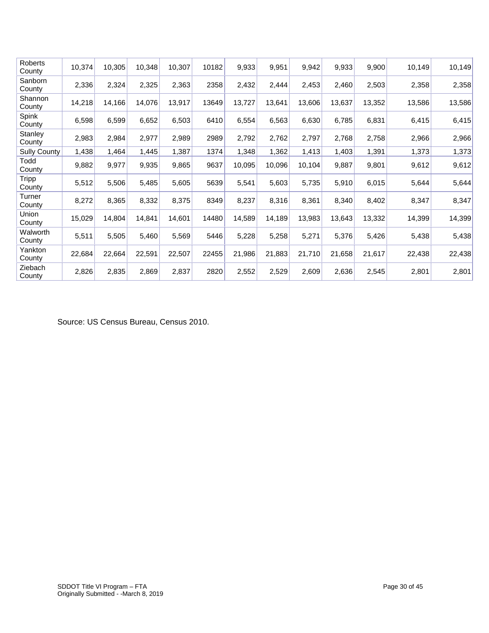| Roberts<br>County      | 10,374 | 10,305 | 10,348 | 10,307 | 10182 | 9,933  | 9,951  | 9,942  | 9,933  | 9,900  | 10,149 | 10,149 |
|------------------------|--------|--------|--------|--------|-------|--------|--------|--------|--------|--------|--------|--------|
| Sanborn<br>County      | 2,336  | 2,324  | 2,325  | 2,363  | 2358  | 2,432  | 2,444  | 2,453  | 2,460  | 2,503  | 2,358  | 2,358  |
| Shannon<br>County      | 14,218 | 14,166 | 14,076 | 13,917 | 13649 | 13,727 | 13,641 | 13,606 | 13,637 | 13,352 | 13,586 | 13,586 |
| Spink<br>County        | 6,598  | 6,599  | 6,652  | 6,503  | 6410  | 6,554  | 6,563  | 6,630  | 6,785  | 6,831  | 6,415  | 6,415  |
| Stanley<br>County      | 2,983  | 2,984  | 2,977  | 2,989  | 2989  | 2,792  | 2,762  | 2,797  | 2,768  | 2,758  | 2,966  | 2,966  |
| <b>Sully County</b>    | 1,438  | 1,464  | 1,445  | 1,387  | 1374  | 1,348  | 1,362  | 1,413  | 1,403  | 1,391  | 1,373  | 1,373  |
| Todd<br>County         | 9,882  | 9,977  | 9,935  | 9,865  | 9637  | 10,095 | 10,096 | 10,104 | 9,887  | 9,801  | 9,612  | 9,612  |
| <b>Tripp</b><br>County | 5,512  | 5,506  | 5,485  | 5,605  | 5639  | 5,541  | 5,603  | 5,735  | 5,910  | 6,015  | 5,644  | 5,644  |
| Turner<br>County       | 8,272  | 8,365  | 8,332  | 8,375  | 8349  | 8,237  | 8,316  | 8,361  | 8,340  | 8,402  | 8,347  | 8,347  |
| Union<br>County        | 15,029 | 14,804 | 14,841 | 14,601 | 14480 | 14,589 | 14,189 | 13,983 | 13,643 | 13,332 | 14,399 | 14,399 |
| Walworth<br>County     | 5,511  | 5,505  | 5,460  | 5,569  | 5446  | 5,228  | 5,258  | 5,271  | 5,376  | 5,426  | 5,438  | 5,438  |
| Yankton<br>County      | 22,684 | 22,664 | 22,591 | 22,507 | 22455 | 21,986 | 21,883 | 21,710 | 21,658 | 21,617 | 22,438 | 22,438 |
| Ziebach<br>County      | 2,826  | 2,835  | 2,869  | 2,837  | 2820  | 2,552  | 2,529  | 2,609  | 2,636  | 2,545  | 2,801  | 2,801  |

Source: US Census Bureau, Census 2010.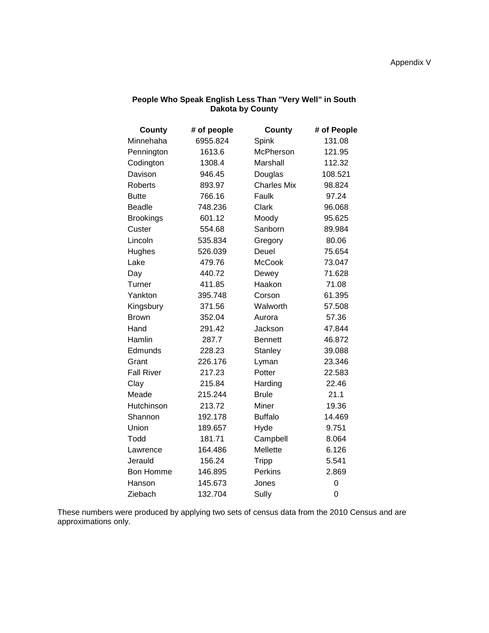| <b>County</b>     | # of people | <b>County</b>      | # of People |
|-------------------|-------------|--------------------|-------------|
| Minnehaha         | 6955.824    | Spink              | 131.08      |
| Pennington        | 1613.6      | McPherson          | 121.95      |
| Codington         | 1308.4      | Marshall           | 112.32      |
| Davison           | 946.45      | Douglas            | 108.521     |
| <b>Roberts</b>    | 893.97      | <b>Charles Mix</b> | 98.824      |
| <b>Butte</b>      | 766.16      | Faulk              | 97.24       |
| <b>Beadle</b>     | 748.236     | Clark              | 96.068      |
| <b>Brookings</b>  | 601.12      | Moody              | 95.625      |
| Custer            | 554.68      | Sanborn            | 89.984      |
| Lincoln           | 535.834     | Gregory            | 80.06       |
| Hughes            | 526.039     | Deuel              | 75.654      |
| Lake              | 479.76      | <b>McCook</b>      | 73.047      |
| Day               | 440.72      | Dewey              | 71.628      |
| Turner            | 411.85      | Haakon             | 71.08       |
| Yankton           | 395.748     | Corson             | 61.395      |
| Kingsbury         | 371.56      | Walworth           | 57.508      |
| <b>Brown</b>      | 352.04      | Aurora             | 57.36       |
| Hand              | 291.42      | Jackson            | 47.844      |
| Hamlin            | 287.7       | <b>Bennett</b>     | 46.872      |
| Edmunds           | 228.23      | <b>Stanley</b>     | 39.088      |
| Grant             | 226.176     | Lyman              | 23.346      |
| <b>Fall River</b> | 217.23      | Potter             | 22.583      |
| Clay              | 215.84      | Harding            | 22.46       |
| Meade             | 215.244     | <b>Brule</b>       | 21.1        |
| Hutchinson        | 213.72      | Miner              | 19.36       |
| Shannon           | 192.178     | <b>Buffalo</b>     | 14.469      |
| Union             | 189.657     | Hyde               | 9.751       |
| Todd              | 181.71      | Campbell           | 8.064       |
| Lawrence          | 164.486     | Mellette           | 6.126       |
| Jerauld           | 156.24      | <b>Tripp</b>       | 5.541       |
| <b>Bon Homme</b>  | 146.895     | <b>Perkins</b>     | 2.869       |
| Hanson            | 145.673     | Jones              | 0           |
| Ziebach           | 132.704     | Sully              | 0           |

#### **People Who Speak English Less Than "Very Well" in South Dakota by County**

These numbers were produced by applying two sets of census data from the 2010 Census and are approximations only.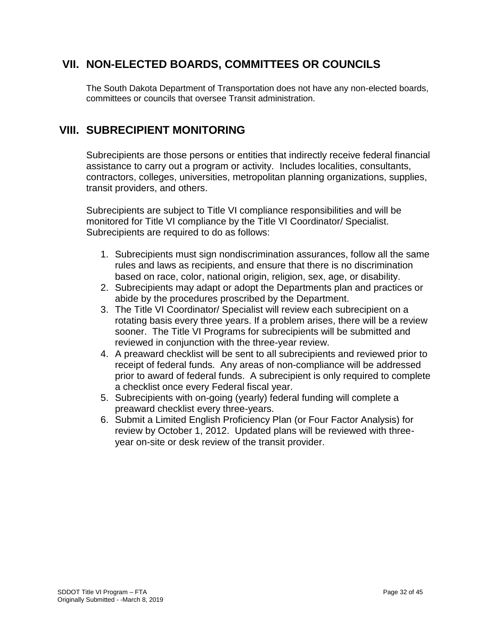### **VII. NON-ELECTED BOARDS, COMMITTEES OR COUNCILS**

The South Dakota Department of Transportation does not have any non-elected boards, committees or councils that oversee Transit administration.

### **VIII. SUBRECIPIENT MONITORING**

Subrecipients are those persons or entities that indirectly receive federal financial assistance to carry out a program or activity. Includes localities, consultants, contractors, colleges, universities, metropolitan planning organizations, supplies, transit providers, and others.

Subrecipients are subject to Title VI compliance responsibilities and will be monitored for Title VI compliance by the Title VI Coordinator/ Specialist. Subrecipients are required to do as follows:

- 1. Subrecipients must sign nondiscrimination assurances, follow all the same rules and laws as recipients, and ensure that there is no discrimination based on race, color, national origin, religion, sex, age, or disability.
- 2. Subrecipients may adapt or adopt the Departments plan and practices or abide by the procedures proscribed by the Department.
- 3. The Title VI Coordinator/ Specialist will review each subrecipient on a rotating basis every three years. If a problem arises, there will be a review sooner. The Title VI Programs for subrecipients will be submitted and reviewed in conjunction with the three-year review.
- 4. A preaward checklist will be sent to all subrecipients and reviewed prior to receipt of federal funds. Any areas of non-compliance will be addressed prior to award of federal funds. A subrecipient is only required to complete a checklist once every Federal fiscal year.
- 5. Subrecipients with on-going (yearly) federal funding will complete a preaward checklist every three-years.
- 6. Submit a Limited English Proficiency Plan (or Four Factor Analysis) for review by October 1, 2012. Updated plans will be reviewed with threeyear on-site or desk review of the transit provider.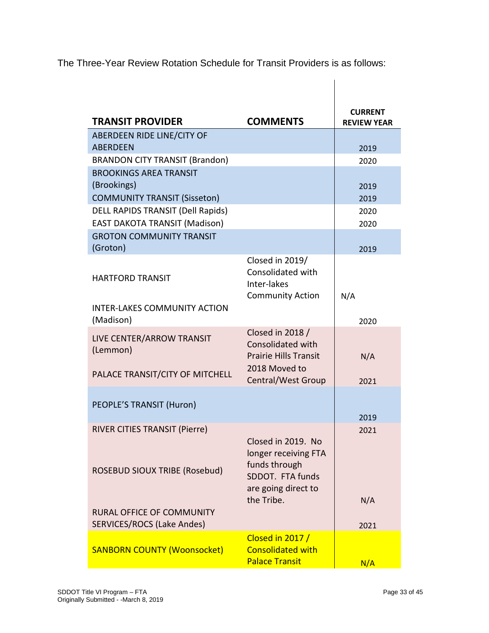The Three-Year Review Rotation Schedule for Transit Providers is as follows:

 $\overline{\phantom{a}}$ 

| <b>CURRENT</b><br><b>TRANSIT PROVIDER</b><br><b>COMMENTS</b><br><b>REVIEW YEAR</b><br>ABERDEEN RIDE LINE/CITY OF<br><b>ABERDEEN</b><br>2019<br><b>BRANDON CITY TRANSIT (Brandon)</b><br>2020<br><b>BROOKINGS AREA TRANSIT</b><br>(Brookings)<br>2019<br><b>COMMUNITY TRANSIT (Sisseton)</b><br>2019<br><b>DELL RAPIDS TRANSIT (Dell Rapids)</b><br>2020<br><b>EAST DAKOTA TRANSIT (Madison)</b><br>2020<br><b>GROTON COMMUNITY TRANSIT</b><br>(Groton)<br>2019<br>Closed in 2019/<br>Consolidated with<br><b>HARTFORD TRANSIT</b> |             |  |
|-----------------------------------------------------------------------------------------------------------------------------------------------------------------------------------------------------------------------------------------------------------------------------------------------------------------------------------------------------------------------------------------------------------------------------------------------------------------------------------------------------------------------------------|-------------|--|
|                                                                                                                                                                                                                                                                                                                                                                                                                                                                                                                                   |             |  |
|                                                                                                                                                                                                                                                                                                                                                                                                                                                                                                                                   |             |  |
|                                                                                                                                                                                                                                                                                                                                                                                                                                                                                                                                   |             |  |
|                                                                                                                                                                                                                                                                                                                                                                                                                                                                                                                                   |             |  |
|                                                                                                                                                                                                                                                                                                                                                                                                                                                                                                                                   |             |  |
|                                                                                                                                                                                                                                                                                                                                                                                                                                                                                                                                   |             |  |
|                                                                                                                                                                                                                                                                                                                                                                                                                                                                                                                                   |             |  |
|                                                                                                                                                                                                                                                                                                                                                                                                                                                                                                                                   |             |  |
|                                                                                                                                                                                                                                                                                                                                                                                                                                                                                                                                   |             |  |
|                                                                                                                                                                                                                                                                                                                                                                                                                                                                                                                                   |             |  |
|                                                                                                                                                                                                                                                                                                                                                                                                                                                                                                                                   |             |  |
|                                                                                                                                                                                                                                                                                                                                                                                                                                                                                                                                   |             |  |
|                                                                                                                                                                                                                                                                                                                                                                                                                                                                                                                                   | Inter-lakes |  |
| <b>Community Action</b><br>N/A                                                                                                                                                                                                                                                                                                                                                                                                                                                                                                    |             |  |
| <b>INTER-LAKES COMMUNITY ACTION</b>                                                                                                                                                                                                                                                                                                                                                                                                                                                                                               |             |  |
| (Madison)<br>2020                                                                                                                                                                                                                                                                                                                                                                                                                                                                                                                 |             |  |
| Closed in 2018 /<br>LIVE CENTER/ARROW TRANSIT                                                                                                                                                                                                                                                                                                                                                                                                                                                                                     |             |  |
| Consolidated with<br>(Lemmon)                                                                                                                                                                                                                                                                                                                                                                                                                                                                                                     |             |  |
| <b>Prairie Hills Transit</b><br>N/A                                                                                                                                                                                                                                                                                                                                                                                                                                                                                               |             |  |
| 2018 Moved to<br>PALACE TRANSIT/CITY OF MITCHELL                                                                                                                                                                                                                                                                                                                                                                                                                                                                                  |             |  |
| <b>Central/West Group</b><br>2021                                                                                                                                                                                                                                                                                                                                                                                                                                                                                                 |             |  |
|                                                                                                                                                                                                                                                                                                                                                                                                                                                                                                                                   |             |  |
| PEOPLE'S TRANSIT (Huron)<br>2019                                                                                                                                                                                                                                                                                                                                                                                                                                                                                                  |             |  |
| <b>RIVER CITIES TRANSIT (Pierre)</b><br>2021                                                                                                                                                                                                                                                                                                                                                                                                                                                                                      |             |  |
| Closed in 2019. No                                                                                                                                                                                                                                                                                                                                                                                                                                                                                                                |             |  |
| longer receiving FTA                                                                                                                                                                                                                                                                                                                                                                                                                                                                                                              |             |  |
| funds through                                                                                                                                                                                                                                                                                                                                                                                                                                                                                                                     |             |  |
| <b>ROSEBUD SIOUX TRIBE (Rosebud)</b><br>SDDOT. FTA funds                                                                                                                                                                                                                                                                                                                                                                                                                                                                          |             |  |
| are going direct to                                                                                                                                                                                                                                                                                                                                                                                                                                                                                                               |             |  |
| the Tribe.<br>N/A                                                                                                                                                                                                                                                                                                                                                                                                                                                                                                                 |             |  |
| RURAL OFFICE OF COMMUNITY                                                                                                                                                                                                                                                                                                                                                                                                                                                                                                         |             |  |
| SERVICES/ROCS (Lake Andes)<br>2021                                                                                                                                                                                                                                                                                                                                                                                                                                                                                                |             |  |
| Closed in 2017 /<br><b>Consolidated with</b><br><b>SANBORN COUNTY (Woonsocket)</b>                                                                                                                                                                                                                                                                                                                                                                                                                                                |             |  |
| <b>Palace Transit</b><br>N/A                                                                                                                                                                                                                                                                                                                                                                                                                                                                                                      |             |  |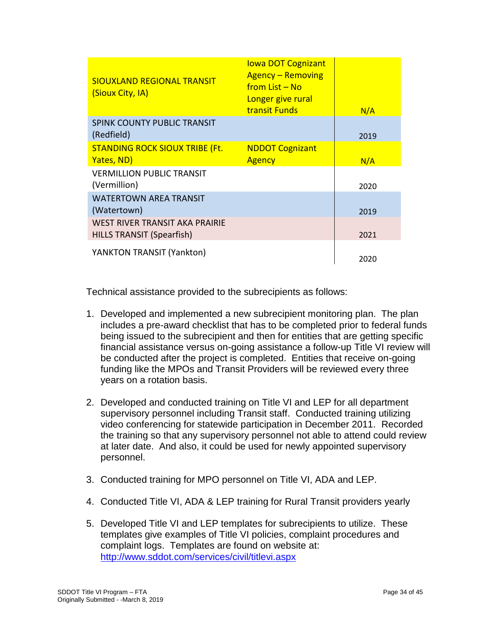| <b>SIOUXLAND REGIONAL TRANSIT</b><br>(Sioux City, IA)              | <b>lowa DOT Cognizant</b><br><b>Agency – Removing</b><br><u>from List – No</u><br>Longer give rural<br><b>transit Funds</b> | N/A  |
|--------------------------------------------------------------------|-----------------------------------------------------------------------------------------------------------------------------|------|
| SPINK COUNTY PUBLIC TRANSIT<br>(Redfield)                          |                                                                                                                             | 2019 |
| <b>STANDING ROCK SIOUX TRIBE (Ft.</b><br>Yates, ND)                | <b>NDDOT Cognizant</b><br><b>Agency</b>                                                                                     | N/A  |
| <b>VERMILLION PUBLIC TRANSIT</b><br>(Vermillion)                   |                                                                                                                             | 2020 |
| <b>WATERTOWN AREA TRANSIT</b><br>(Watertown)                       |                                                                                                                             | 2019 |
| WEST RIVER TRANSIT AKA PRAIRIE<br><b>HILLS TRANSIT (Spearfish)</b> |                                                                                                                             | 2021 |
| YANKTON TRANSIT (Yankton)                                          |                                                                                                                             | 2020 |

Technical assistance provided to the subrecipients as follows:

- 1. Developed and implemented a new subrecipient monitoring plan. The plan includes a pre-award checklist that has to be completed prior to federal funds being issued to the subrecipient and then for entities that are getting specific financial assistance versus on-going assistance a follow-up Title VI review will be conducted after the project is completed. Entities that receive on-going funding like the MPOs and Transit Providers will be reviewed every three years on a rotation basis.
- 2. Developed and conducted training on Title VI and LEP for all department supervisory personnel including Transit staff. Conducted training utilizing video conferencing for statewide participation in December 2011. Recorded the training so that any supervisory personnel not able to attend could review at later date. And also, it could be used for newly appointed supervisory personnel.
- 3. Conducted training for MPO personnel on Title VI, ADA and LEP.
- 4. Conducted Title VI, ADA & LEP training for Rural Transit providers yearly
- 5. Developed Title VI and LEP templates for subrecipients to utilize. These templates give examples of Title VI policies, complaint procedures and complaint logs. Templates are found on website at: <http://www.sddot.com/services/civil/titlevi.aspx>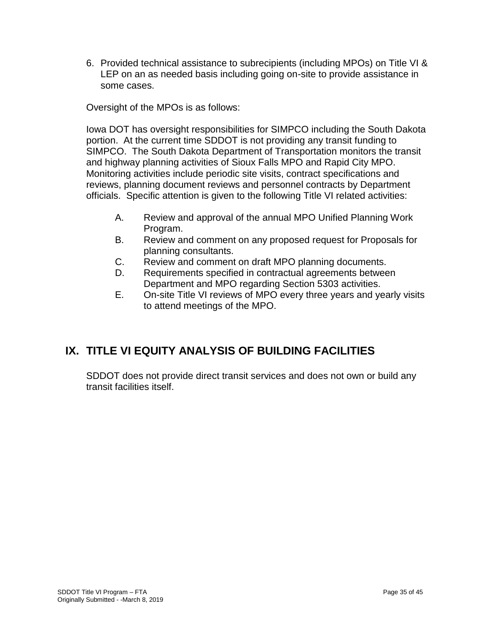6. Provided technical assistance to subrecipients (including MPOs) on Title VI & LEP on an as needed basis including going on-site to provide assistance in some cases.

Oversight of the MPOs is as follows:

Iowa DOT has oversight responsibilities for SIMPCO including the South Dakota portion. At the current time SDDOT is not providing any transit funding to SIMPCO. The South Dakota Department of Transportation monitors the transit and highway planning activities of Sioux Falls MPO and Rapid City MPO. Monitoring activities include periodic site visits, contract specifications and reviews, planning document reviews and personnel contracts by Department officials. Specific attention is given to the following Title VI related activities:

- A. Review and approval of the annual MPO Unified Planning Work Program.
- B. Review and comment on any proposed request for Proposals for planning consultants.
- C. Review and comment on draft MPO planning documents.
- D. Requirements specified in contractual agreements between Department and MPO regarding Section 5303 activities.
- E. On-site Title VI reviews of MPO every three years and yearly visits to attend meetings of the MPO.

# **IX. TITLE VI EQUITY ANALYSIS OF BUILDING FACILITIES**

SDDOT does not provide direct transit services and does not own or build any transit facilities itself.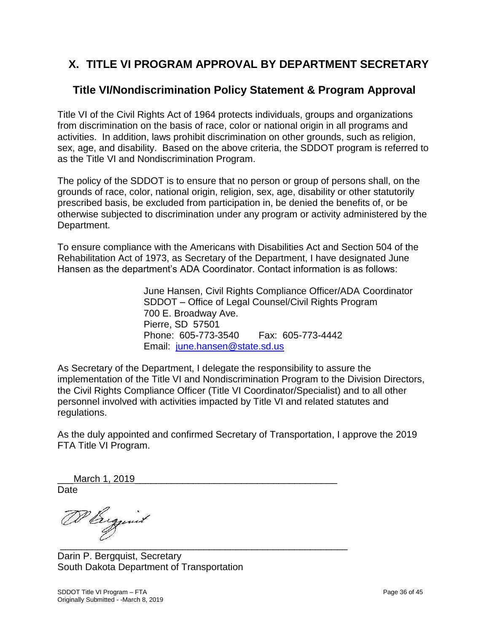# **X. TITLE VI PROGRAM APPROVAL BY DEPARTMENT SECRETARY**

### **Title VI/Nondiscrimination Policy Statement & Program Approval**

Title VI of the Civil Rights Act of 1964 protects individuals, groups and organizations from discrimination on the basis of race, color or national origin in all programs and activities. In addition, laws prohibit discrimination on other grounds, such as religion, sex, age, and disability. Based on the above criteria, the SDDOT program is referred to as the Title VI and Nondiscrimination Program.

The policy of the SDDOT is to ensure that no person or group of persons shall, on the grounds of race, color, national origin, religion, sex, age, disability or other statutorily prescribed basis, be excluded from participation in, be denied the benefits of, or be otherwise subjected to discrimination under any program or activity administered by the Department.

To ensure compliance with the Americans with Disabilities Act and Section 504 of the Rehabilitation Act of 1973, as Secretary of the Department, I have designated June Hansen as the department's ADA Coordinator. Contact information is as follows:

> June Hansen, Civil Rights Compliance Officer/ADA Coordinator SDDOT – Office of Legal Counsel/Civil Rights Program 700 E. Broadway Ave. Pierre, SD 57501 Phone: 605-773-3540 Fax: 605-773-4442 Email: [june.hansen@state.sd.us](mailto:june.hansen@state.sd.us)

As Secretary of the Department, I delegate the responsibility to assure the implementation of the Title VI and Nondiscrimination Program to the Division Directors, the Civil Rights Compliance Officer (Title VI Coordinator/Specialist) and to all other personnel involved with activities impacted by Title VI and related statutes and regulations.

As the duly appointed and confirmed Secretary of Transportation, I approve the 2019 FTA Title VI Program.

March 1, 2019 Date

DP Biggint  $\sim$  05  $\sim$  05  $\sim$  05  $\sim$  05  $\sim$  0.000  $\sim$  0.000  $\sim$  0.000  $\sim$  0.000  $\sim$  0.000  $\sim$  0.000  $\sim$  0.000  $\sim$ 

Darin P. Bergquist, Secretary South Dakota Department of Transportation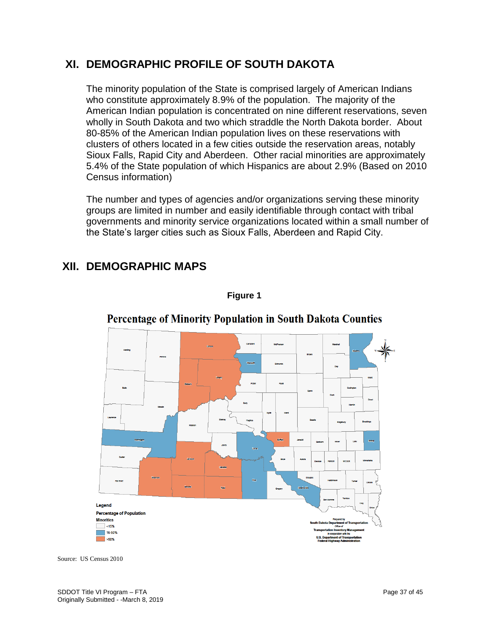### **XI. DEMOGRAPHIC PROFILE OF SOUTH DAKOTA**

The minority population of the State is comprised largely of American Indians who constitute approximately 8.9% of the population. The majority of the American Indian population is concentrated on nine different reservations, seven wholly in South Dakota and two which straddle the North Dakota border. About 80-85% of the American Indian population lives on these reservations with clusters of others located in a few cities outside the reservation areas, notably Sioux Falls, Rapid City and Aberdeen. Other racial minorities are approximately 5.4% of the State population of which Hispanics are about 2.9% (Based on 2010 Census information)

The number and types of agencies and/or organizations serving these minority groups are limited in number and easily identifiable through contact with tribal governments and minority service organizations located within a small number of the State's larger cities such as Sioux Falls, Aberdeen and Rapid City.

# **XII. DEMOGRAPHIC MAPS**



### **Percentage of Minority Population in South Dakota Counties**

**Figure 1**

Source: US Census 2010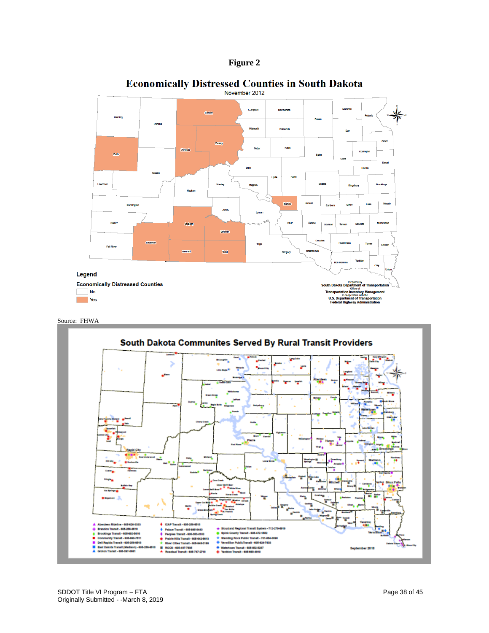



# **Economically Distressed Counties in South Dakota**<br>November 2012

Source: FHWA

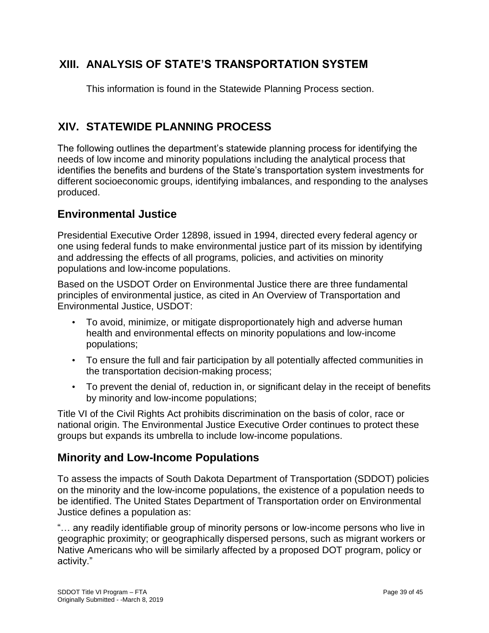### **XIII. ANALYSIS OF STATE'S TRANSPORTATION SYSTEM**

This information is found in the Statewide Planning Process section.

### **XIV. STATEWIDE PLANNING PROCESS**

The following outlines the department's statewide planning process for identifying the needs of low income and minority populations including the analytical process that identifies the benefits and burdens of the State's transportation system investments for different socioeconomic groups, identifying imbalances, and responding to the analyses produced.

### **Environmental Justice**

Presidential Executive Order 12898, issued in 1994, directed every federal agency or one using federal funds to make environmental justice part of its mission by identifying and addressing the effects of all programs, policies, and activities on minority populations and low-income populations.

Based on the USDOT Order on Environmental Justice there are three fundamental principles of environmental justice, as cited in An Overview of Transportation and Environmental Justice, USDOT:

- To avoid, minimize, or mitigate disproportionately high and adverse human health and environmental effects on minority populations and low-income populations;
- To ensure the full and fair participation by all potentially affected communities in the transportation decision-making process;
- To prevent the denial of, reduction in, or significant delay in the receipt of benefits by minority and low-income populations;

Title VI of the Civil Rights Act prohibits discrimination on the basis of color, race or national origin. The Environmental Justice Executive Order continues to protect these groups but expands its umbrella to include low-income populations.

### **Minority and Low-Income Populations**

To assess the impacts of South Dakota Department of Transportation (SDDOT) policies on the minority and the low-income populations, the existence of a population needs to be identified. The United States Department of Transportation order on Environmental Justice defines a population as:

"… any readily identifiable group of minority persons or low-income persons who live in geographic proximity; or geographically dispersed persons, such as migrant workers or Native Americans who will be similarly affected by a proposed DOT program, policy or activity."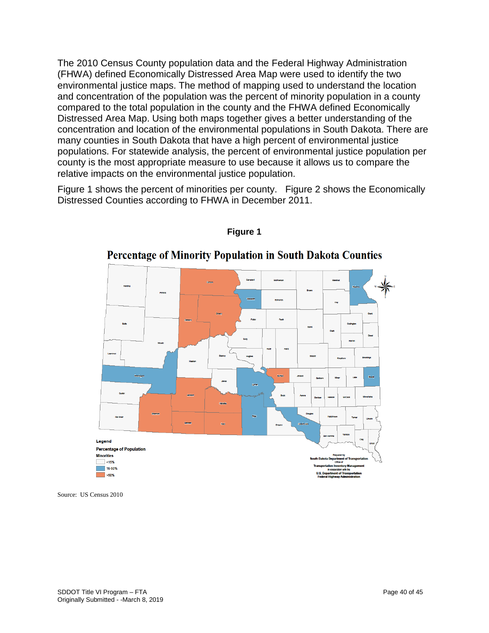The 2010 Census County population data and the Federal Highway Administration (FHWA) defined Economically Distressed Area Map were used to identify the two environmental justice maps. The method of mapping used to understand the location and concentration of the population was the percent of minority population in a county compared to the total population in the county and the FHWA defined Economically Distressed Area Map. Using both maps together gives a better understanding of the concentration and location of the environmental populations in South Dakota. There are many counties in South Dakota that have a high percent of environmental justice populations. For statewide analysis, the percent of environmental justice population per county is the most appropriate measure to use because it allows us to compare the relative impacts on the environmental justice population.

Figure 1 shows the percent of minorities per county. Figure 2 shows the Economically Distressed Counties according to FHWA in December 2011.



#### **Figure 1**

### **Percentage of Minority Population in South Dakota Counties**

Source: US Census 2010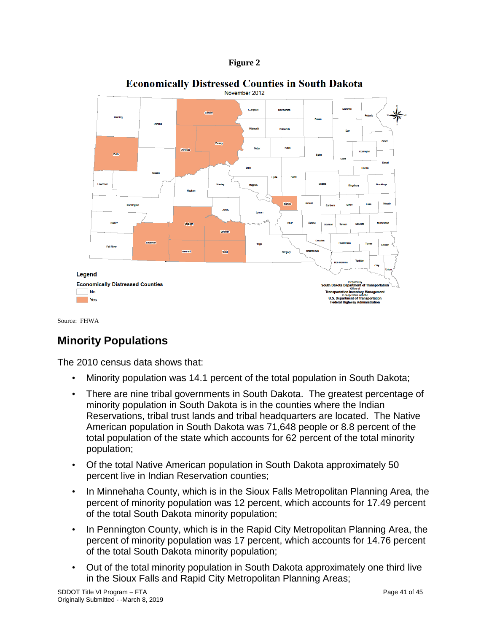



### **Economically Distressed Counties in South Dakota**

Source: FHWA

### **Minority Populations**

The 2010 census data shows that:

- Minority population was 14.1 percent of the total population in South Dakota;
- There are nine tribal governments in South Dakota. The greatest percentage of minority population in South Dakota is in the counties where the Indian Reservations, tribal trust lands and tribal headquarters are located. The Native American population in South Dakota was 71,648 people or 8.8 percent of the total population of the state which accounts for 62 percent of the total minority population;
- Of the total Native American population in South Dakota approximately 50 percent live in Indian Reservation counties;
- In Minnehaha County, which is in the Sioux Falls Metropolitan Planning Area, the percent of minority population was 12 percent, which accounts for 17.49 percent of the total South Dakota minority population;
- In Pennington County, which is in the Rapid City Metropolitan Planning Area, the percent of minority population was 17 percent, which accounts for 14.76 percent of the total South Dakota minority population;
- Out of the total minority population in South Dakota approximately one third live in the Sioux Falls and Rapid City Metropolitan Planning Areas;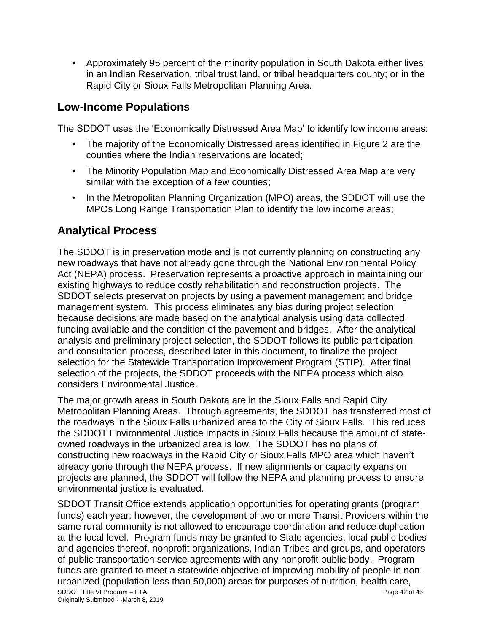• Approximately 95 percent of the minority population in South Dakota either lives in an Indian Reservation, tribal trust land, or tribal headquarters county; or in the Rapid City or Sioux Falls Metropolitan Planning Area.

### **Low-Income Populations**

The SDDOT uses the 'Economically Distressed Area Map' to identify low income areas:

- The majority of the Economically Distressed areas identified in Figure 2 are the counties where the Indian reservations are located;
- The Minority Population Map and Economically Distressed Area Map are very similar with the exception of a few counties;
- In the Metropolitan Planning Organization (MPO) areas, the SDDOT will use the MPOs Long Range Transportation Plan to identify the low income areas;

### **Analytical Process**

The SDDOT is in preservation mode and is not currently planning on constructing any new roadways that have not already gone through the National Environmental Policy Act (NEPA) process. Preservation represents a proactive approach in maintaining our existing highways to reduce costly rehabilitation and reconstruction projects. The SDDOT selects preservation projects by using a pavement management and bridge management system. This process eliminates any bias during project selection because decisions are made based on the analytical analysis using data collected, funding available and the condition of the pavement and bridges. After the analytical analysis and preliminary project selection, the SDDOT follows its public participation and consultation process, described later in this document, to finalize the project selection for the Statewide Transportation Improvement Program (STIP). After final selection of the projects, the SDDOT proceeds with the NEPA process which also considers Environmental Justice.

The major growth areas in South Dakota are in the Sioux Falls and Rapid City Metropolitan Planning Areas. Through agreements, the SDDOT has transferred most of the roadways in the Sioux Falls urbanized area to the City of Sioux Falls. This reduces the SDDOT Environmental Justice impacts in Sioux Falls because the amount of stateowned roadways in the urbanized area is low. The SDDOT has no plans of constructing new roadways in the Rapid City or Sioux Falls MPO area which haven't already gone through the NEPA process. If new alignments or capacity expansion projects are planned, the SDDOT will follow the NEPA and planning process to ensure environmental justice is evaluated.

SDDOT Title VI Program – FTA Page 42 of 45 Originally Submitted - -March 8, 2019 SDDOT Transit Office extends application opportunities for operating grants (program funds) each year; however, the development of two or more Transit Providers within the same rural community is not allowed to encourage coordination and reduce duplication at the local level. Program funds may be granted to State agencies, local public bodies and agencies thereof, nonprofit organizations, Indian Tribes and groups, and operators of public transportation service agreements with any nonprofit public body. Program funds are granted to meet a statewide objective of improving mobility of people in nonurbanized (population less than 50,000) areas for purposes of nutrition, health care,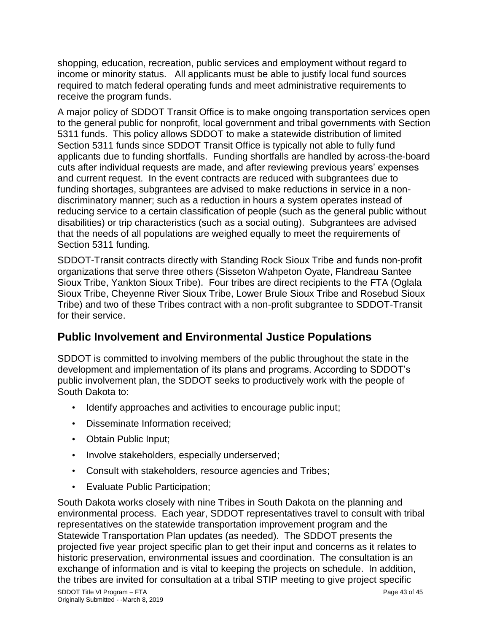shopping, education, recreation, public services and employment without regard to income or minority status. All applicants must be able to justify local fund sources required to match federal operating funds and meet administrative requirements to receive the program funds.

A major policy of SDDOT Transit Office is to make ongoing transportation services open to the general public for nonprofit, local government and tribal governments with Section 5311 funds. This policy allows SDDOT to make a statewide distribution of limited Section 5311 funds since SDDOT Transit Office is typically not able to fully fund applicants due to funding shortfalls. Funding shortfalls are handled by across-the-board cuts after individual requests are made, and after reviewing previous years' expenses and current request. In the event contracts are reduced with subgrantees due to funding shortages, subgrantees are advised to make reductions in service in a nondiscriminatory manner; such as a reduction in hours a system operates instead of reducing service to a certain classification of people (such as the general public without disabilities) or trip characteristics (such as a social outing). Subgrantees are advised that the needs of all populations are weighed equally to meet the requirements of Section 5311 funding.

SDDOT-Transit contracts directly with Standing Rock Sioux Tribe and funds non-profit organizations that serve three others (Sisseton Wahpeton Oyate, Flandreau Santee Sioux Tribe, Yankton Sioux Tribe). Four tribes are direct recipients to the FTA (Oglala Sioux Tribe, Cheyenne River Sioux Tribe, Lower Brule Sioux Tribe and Rosebud Sioux Tribe) and two of these Tribes contract with a non-profit subgrantee to SDDOT-Transit for their service.

# **Public Involvement and Environmental Justice Populations**

SDDOT is committed to involving members of the public throughout the state in the development and implementation of its plans and programs. According to SDDOT's public involvement plan, the SDDOT seeks to productively work with the people of South Dakota to:

- Identify approaches and activities to encourage public input;
- Disseminate Information received;
- Obtain Public Input;
- Involve stakeholders, especially underserved;
- Consult with stakeholders, resource agencies and Tribes;
- Evaluate Public Participation;

South Dakota works closely with nine Tribes in South Dakota on the planning and environmental process. Each year, SDDOT representatives travel to consult with tribal representatives on the statewide transportation improvement program and the Statewide Transportation Plan updates (as needed). The SDDOT presents the projected five year project specific plan to get their input and concerns as it relates to historic preservation, environmental issues and coordination. The consultation is an exchange of information and is vital to keeping the projects on schedule. In addition, the tribes are invited for consultation at a tribal STIP meeting to give project specific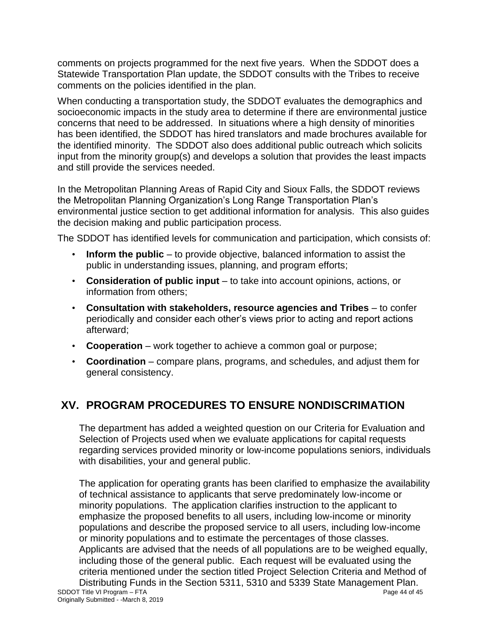comments on projects programmed for the next five years. When the SDDOT does a Statewide Transportation Plan update, the SDDOT consults with the Tribes to receive comments on the policies identified in the plan.

When conducting a transportation study, the SDDOT evaluates the demographics and socioeconomic impacts in the study area to determine if there are environmental justice concerns that need to be addressed. In situations where a high density of minorities has been identified, the SDDOT has hired translators and made brochures available for the identified minority. The SDDOT also does additional public outreach which solicits input from the minority group(s) and develops a solution that provides the least impacts and still provide the services needed.

In the Metropolitan Planning Areas of Rapid City and Sioux Falls, the SDDOT reviews the Metropolitan Planning Organization's Long Range Transportation Plan's environmental justice section to get additional information for analysis. This also guides the decision making and public participation process.

The SDDOT has identified levels for communication and participation, which consists of:

- **Inform the public** to provide objective, balanced information to assist the public in understanding issues, planning, and program efforts;
- **Consideration of public input** to take into account opinions, actions, or information from others;
- **Consultation with stakeholders, resource agencies and Tribes** to confer periodically and consider each other's views prior to acting and report actions afterward;
- **Cooperation** work together to achieve a common goal or purpose;
- **Coordination** compare plans, programs, and schedules, and adjust them for general consistency.

# **XV. PROGRAM PROCEDURES TO ENSURE NONDISCRIMATION**

The department has added a weighted question on our Criteria for Evaluation and Selection of Projects used when we evaluate applications for capital requests regarding services provided minority or low-income populations seniors, individuals with disabilities, your and general public.

The application for operating grants has been clarified to emphasize the availability of technical assistance to applicants that serve predominately low-income or minority populations. The application clarifies instruction to the applicant to emphasize the proposed benefits to all users, including low-income or minority populations and describe the proposed service to all users, including low-income or minority populations and to estimate the percentages of those classes. Applicants are advised that the needs of all populations are to be weighed equally, including those of the general public. Each request will be evaluated using the criteria mentioned under the section titled Project Selection Criteria and Method of Distributing Funds in the Section 5311, 5310 and 5339 State Management Plan.